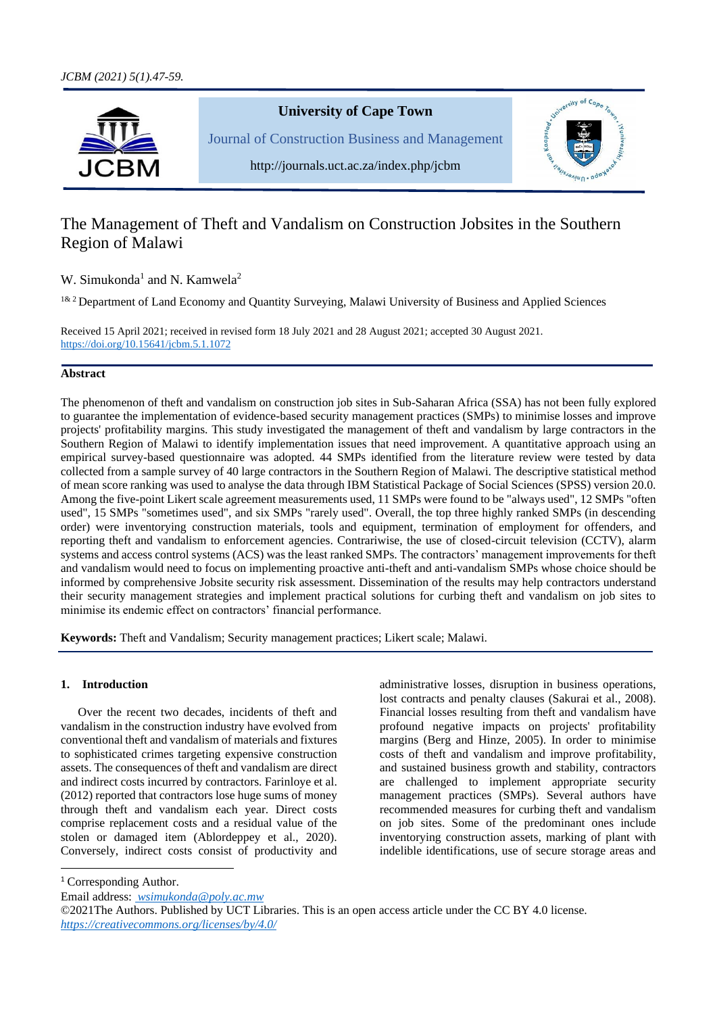

# The Management of Theft and Vandalism on Construction Jobsites in the Southern Region of Malawi

W. Simukonda<sup>1</sup> and N. Kamwela<sup>2</sup>

<sup>1& 2</sup> Department of Land Economy and Quantity Surveying, Malawi University of Business and Applied Sciences

Received 15 April 2021; received in revised form 18 July 2021 and 28 August 2021; accepted 30 August 2021. [https://doi.org/10.15641/jcbm.5.1.1](https://doi.org/10.15641/jcbm.5.1.)072

# **Abstract**

The phenomenon of theft and vandalism on construction job sites in Sub-Saharan Africa (SSA) has not been fully explored to guarantee the implementation of evidence-based security management practices (SMPs) to minimise losses and improve projects' profitability margins. This study investigated the management of theft and vandalism by large contractors in the Southern Region of Malawi to identify implementation issues that need improvement. A quantitative approach using an empirical survey-based questionnaire was adopted. 44 SMPs identified from the literature review were tested by data collected from a sample survey of 40 large contractors in the Southern Region of Malawi. The descriptive statistical method of mean score ranking was used to analyse the data through IBM Statistical Package of Social Sciences (SPSS) version 20.0. Among the five-point Likert scale agreement measurements used, 11 SMPs were found to be "always used", 12 SMPs "often used", 15 SMPs "sometimes used", and six SMPs "rarely used". Overall, the top three highly ranked SMPs (in descending order) were inventorying construction materials, tools and equipment, termination of employment for offenders, and reporting theft and vandalism to enforcement agencies. Contrariwise, the use of closed-circuit television (CCTV), alarm systems and access control systems (ACS) was the least ranked SMPs. The contractors' management improvements for theft and vandalism would need to focus on implementing proactive anti-theft and anti-vandalism SMPs whose choice should be informed by comprehensive Jobsite security risk assessment. Dissemination of the results may help contractors understand their security management strategies and implement practical solutions for curbing theft and vandalism on job sites to minimise its endemic effect on contractors' financial performance.

**Keywords:** Theft and Vandalism; Security management practices; Likert scale; Malawi.

# **1. Introduction**

Over the recent two decades, incidents of theft and vandalism in the construction industry have evolved from conventional theft and vandalism of materials and fixtures to sophisticated crimes targeting expensive construction assets. The consequences of theft and vandalism are direct and indirect costs incurred by contractors. Farinloye et al. (2012) reported that contractors lose huge sums of money through theft and vandalism each year. Direct costs comprise replacement costs and a residual value of the stolen or damaged item (Ablordeppey et al., 2020). Conversely, indirect costs consist of productivity and

administrative losses, disruption in business operations, lost contracts and penalty clauses (Sakurai et al., 2008). Financial losses resulting from theft and vandalism have profound negative impacts on projects' profitability margins (Berg and Hinze, 2005). In order to minimise costs of theft and vandalism and improve profitability, and sustained business growth and stability, contractors are challenged to implement appropriate security management practices (SMPs). Several authors have recommended measures for curbing theft and vandalism on job sites. Some of the predominant ones include inventorying construction assets, marking of plant with indelible identifications, use of secure storage areas and

<sup>1</sup> Corresponding Author.

Email address: *[wsimukonda@poly.ac.mw](mailto:%20wsimukonda@poly.ac.mw)*

©2021The Authors. Published by UCT Libraries. This is an open access article under the CC BY 4.0 license. *<https://creativecommons.org/licenses/by/4.0/>*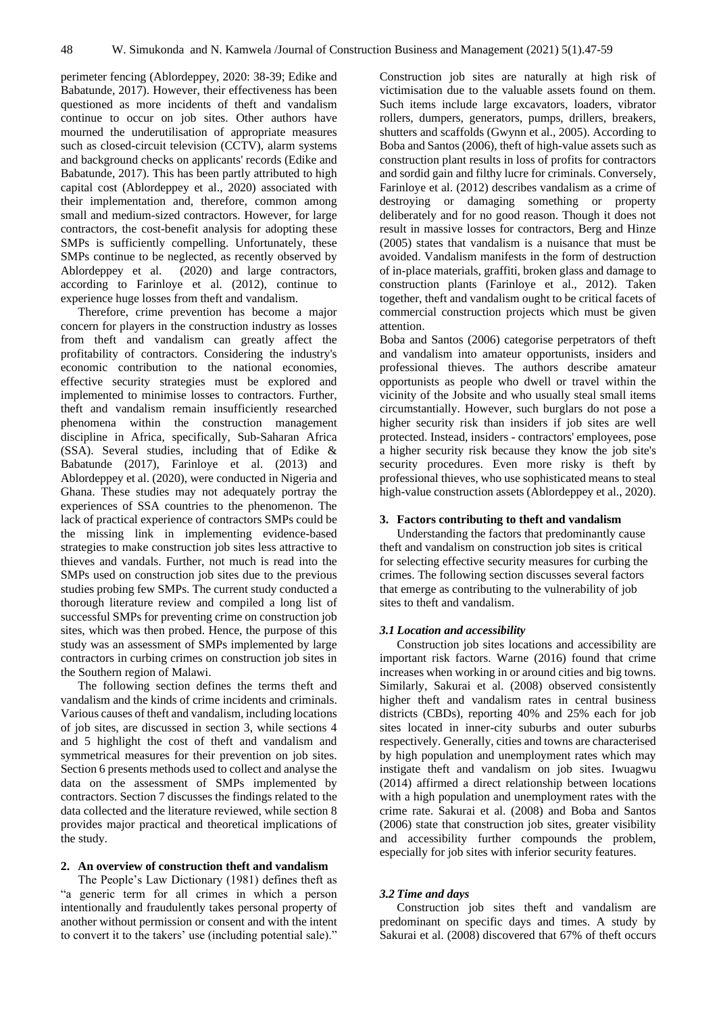perimeter fencing (Ablordeppey, 2020: 38-39; Edike and Babatunde, 2017). However, their effectiveness has been questioned as more incidents of theft and vandalism continue to occur on job sites. Other authors have mourned the underutilisation of appropriate measures such as closed-circuit television (CCTV), alarm systems and background checks on applicants' records (Edike and Babatunde, 2017). This has been partly attributed to high capital cost (Ablordeppey et al., 2020) associated with their implementation and, therefore, common among small and medium-sized contractors. However, for large contractors, the cost-benefit analysis for adopting these SMPs is sufficiently compelling. Unfortunately, these SMPs continue to be neglected, as recently observed by Ablordeppey et al. (2020) and large contractors, according to Farinloye et al. (2012), continue to experience huge losses from theft and vandalism.

Therefore, crime prevention has become a major concern for players in the construction industry as losses from theft and vandalism can greatly affect the profitability of contractors. Considering the industry's economic contribution to the national economies, effective security strategies must be explored and implemented to minimise losses to contractors. Further, theft and vandalism remain insufficiently researched phenomena within the construction management discipline in Africa, specifically, Sub-Saharan Africa (SSA). Several studies, including that of Edike & Babatunde (2017), Farinloye et al. (2013) and Ablordeppey et al. (2020), were conducted in Nigeria and Ghana. These studies may not adequately portray the experiences of SSA countries to the phenomenon. The lack of practical experience of contractors SMPs could be the missing link in implementing evidence-based strategies to make construction job sites less attractive to thieves and vandals. Further, not much is read into the SMPs used on construction job sites due to the previous studies probing few SMPs. The current study conducted a thorough literature review and compiled a long list of successful SMPs for preventing crime on construction job sites, which was then probed. Hence, the purpose of this study was an assessment of SMPs implemented by large contractors in curbing crimes on construction job sites in the Southern region of Malawi.

The following section defines the terms theft and vandalism and the kinds of crime incidents and criminals. Various causes of theft and vandalism, including locations of job sites, are discussed in section 3, while sections 4 and 5 highlight the cost of theft and vandalism and symmetrical measures for their prevention on job sites. Section 6 presents methods used to collect and analyse the data on the assessment of SMPs implemented by contractors. Section 7 discusses the findings related to the data collected and the literature reviewed, while section 8 provides major practical and theoretical implications of the study.

## **2. An overview of construction theft and vandalism**

The People's Law Dictionary (1981) defines theft as "a generic term for all crimes in which a person intentionally and fraudulently takes personal property of another without permission or consent and with the intent to convert it to the takers' use (including potential sale)."

Construction job sites are naturally at high risk of victimisation due to the valuable assets found on them. Such items include large excavators, loaders, vibrator rollers, dumpers, generators, pumps, drillers, breakers, shutters and scaffolds (Gwynn et al., 2005). According to Boba and Santos (2006), theft of high-value assets such as construction plant results in loss of profits for contractors and sordid gain and filthy lucre for criminals. Conversely, Farinloye et al. (2012) describes vandalism as a crime of destroying or damaging something or property deliberately and for no good reason. Though it does not result in massive losses for contractors, Berg and Hinze (2005) states that vandalism is a nuisance that must be avoided. Vandalism manifests in the form of destruction of in-place materials, graffiti, broken glass and damage to construction plants (Farinloye et al., 2012). Taken together, theft and vandalism ought to be critical facets of commercial construction projects which must be given attention.

Boba and Santos (2006) categorise perpetrators of theft and vandalism into amateur opportunists, insiders and professional thieves. The authors describe amateur opportunists as people who dwell or travel within the vicinity of the Jobsite and who usually steal small items circumstantially. However, such burglars do not pose a higher security risk than insiders if job sites are well protected. Instead, insiders - contractors' employees, pose a higher security risk because they know the job site's security procedures. Even more risky is theft by professional thieves, who use sophisticated means to steal high-value construction assets (Ablordeppey et al., 2020).

# **3. Factors contributing to theft and vandalism**

Understanding the factors that predominantly cause theft and vandalism on construction job sites is critical for selecting effective security measures for curbing the crimes. The following section discusses several factors that emerge as contributing to the vulnerability of job sites to theft and vandalism.

#### *3.1 Location and accessibility*

Construction job sites locations and accessibility are important risk factors. Warne (2016) found that crime increases when working in or around cities and big towns. Similarly, Sakurai et al. (2008) observed consistently higher theft and vandalism rates in central business districts (CBDs), reporting 40% and 25% each for job sites located in inner-city suburbs and outer suburbs respectively. Generally, cities and towns are characterised by high population and unemployment rates which may instigate theft and vandalism on job sites. Iwuagwu (2014) affirmed a direct relationship between locations with a high population and unemployment rates with the crime rate. Sakurai et al. (2008) and Boba and Santos (2006) state that construction job sites, greater visibility and accessibility further compounds the problem, especially for job sites with inferior security features.

## *3.2 Time and days*

Construction job sites theft and vandalism are predominant on specific days and times. A study by Sakurai et al. (2008) discovered that 67% of theft occurs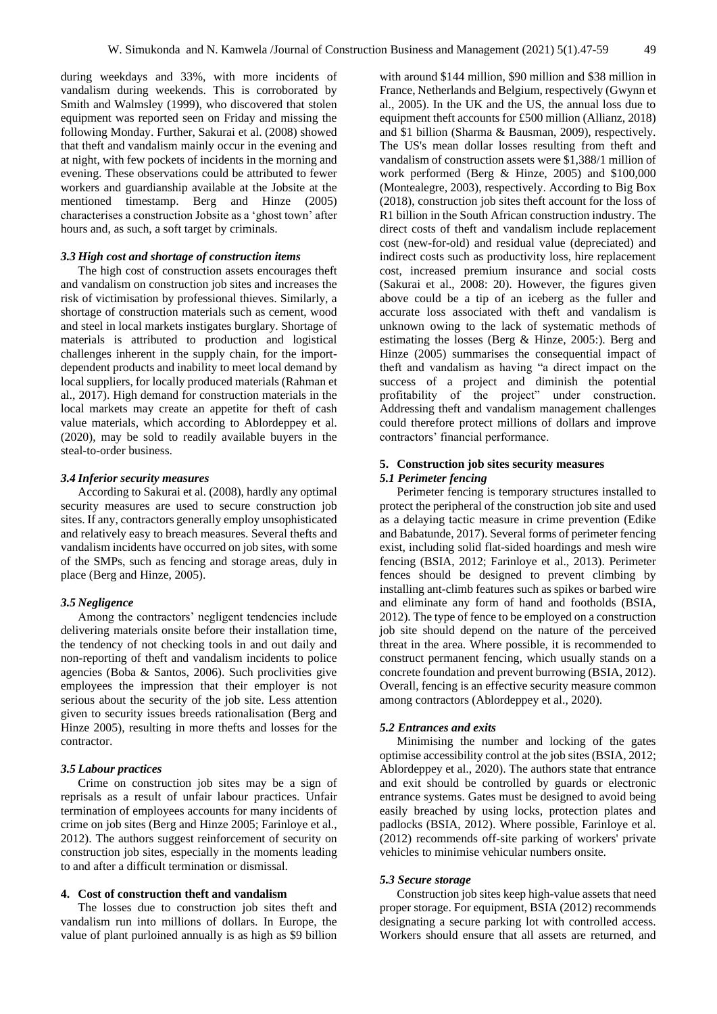during weekdays and 33%, with more incidents of vandalism during weekends. This is corroborated by Smith and Walmsley (1999), who discovered that stolen equipment was reported seen on Friday and missing the following Monday. Further, Sakurai et al. (2008) showed that theft and vandalism mainly occur in the evening and at night, with few pockets of incidents in the morning and evening. These observations could be attributed to fewer workers and guardianship available at the Jobsite at the mentioned timestamp. Berg and Hinze (2005) characterises a construction Jobsite as a 'ghost town' after hours and, as such, a soft target by criminals.

## *3.3 High cost and shortage of construction items*

The high cost of construction assets encourages theft and vandalism on construction job sites and increases the risk of victimisation by professional thieves. Similarly, a shortage of construction materials such as cement, wood and steel in local markets instigates burglary. Shortage of materials is attributed to production and logistical challenges inherent in the supply chain, for the importdependent products and inability to meet local demand by local suppliers, for locally produced materials (Rahman et al., 2017). High demand for construction materials in the local markets may create an appetite for theft of cash value materials, which according to Ablordeppey et al. (2020), may be sold to readily available buyers in the steal-to-order business.

#### *3.4 Inferior security measures*

According to Sakurai et al. (2008), hardly any optimal security measures are used to secure construction job sites. If any, contractors generally employ unsophisticated and relatively easy to breach measures. Several thefts and vandalism incidents have occurred on job sites, with some of the SMPs, such as fencing and storage areas, duly in place (Berg and Hinze, 2005).

## *3.5 Negligence*

Among the contractors' negligent tendencies include delivering materials onsite before their installation time, the tendency of not checking tools in and out daily and non-reporting of theft and vandalism incidents to police agencies (Boba & Santos, 2006). Such proclivities give employees the impression that their employer is not serious about the security of the job site. Less attention given to security issues breeds rationalisation (Berg and Hinze 2005), resulting in more thefts and losses for the contractor.

#### *3.5 Labour practices*

Crime on construction job sites may be a sign of reprisals as a result of unfair labour practices. Unfair termination of employees accounts for many incidents of crime on job sites (Berg and Hinze 2005; Farinloye et al., 2012). The authors suggest reinforcement of security on construction job sites, especially in the moments leading to and after a difficult termination or dismissal.

## **4. Cost of construction theft and vandalism**

The losses due to construction job sites theft and vandalism run into millions of dollars. In Europe, the value of plant purloined annually is as high as \$9 billion

with around \$144 million, \$90 million and \$38 million in France, Netherlands and Belgium, respectively (Gwynn et al., 2005). In the UK and the US, the annual loss due to equipment theft accounts for £500 million (Allianz, 2018) and \$1 billion (Sharma & Bausman, 2009), respectively. The US's mean dollar losses resulting from theft and vandalism of construction assets were \$1,388/1 million of work performed (Berg & Hinze, 2005) and \$100,000 (Montealegre, 2003), respectively. According to Big Box (2018), construction job sites theft account for the loss of R1 billion in the South African construction industry. The direct costs of theft and vandalism include replacement cost (new-for-old) and residual value (depreciated) and indirect costs such as productivity loss, hire replacement cost, increased premium insurance and social costs (Sakurai et al., 2008: 20). However, the figures given above could be a tip of an iceberg as the fuller and accurate loss associated with theft and vandalism is unknown owing to the lack of systematic methods of estimating the losses (Berg & Hinze, 2005:). Berg and Hinze (2005) summarises the consequential impact of theft and vandalism as having "a direct impact on the success of a project and diminish the potential profitability of the project" under construction. Addressing theft and vandalism management challenges could therefore protect millions of dollars and improve contractors' financial performance.

## **5. Construction job sites security measures** *5.1 Perimeter fencing*

Perimeter fencing is temporary structures installed to protect the peripheral of the construction job site and used as a delaying tactic measure in crime prevention (Edike and Babatunde, 2017). Several forms of perimeter fencing exist, including solid flat-sided hoardings and mesh wire fencing (BSIA, 2012; Farinloye et al., 2013). Perimeter fences should be designed to prevent climbing by installing ant-climb features such as spikes or barbed wire and eliminate any form of hand and footholds (BSIA, 2012). The type of fence to be employed on a construction job site should depend on the nature of the perceived threat in the area. Where possible, it is recommended to construct permanent fencing, which usually stands on a concrete foundation and prevent burrowing (BSIA, 2012). Overall, fencing is an effective security measure common among contractors (Ablordeppey et al., 2020).

#### *5.2 Entrances and exits*

Minimising the number and locking of the gates optimise accessibility control at the job sites (BSIA, 2012; Ablordeppey et al., 2020). The authors state that entrance and exit should be controlled by guards or electronic entrance systems. Gates must be designed to avoid being easily breached by using locks, protection plates and padlocks (BSIA, 2012). Where possible, Farinloye et al. (2012) recommends off-site parking of workers' private vehicles to minimise vehicular numbers onsite.

#### *5.3 Secure storage*

Construction job sites keep high-value assets that need proper storage. For equipment, BSIA (2012) recommends designating a secure parking lot with controlled access. Workers should ensure that all assets are returned, and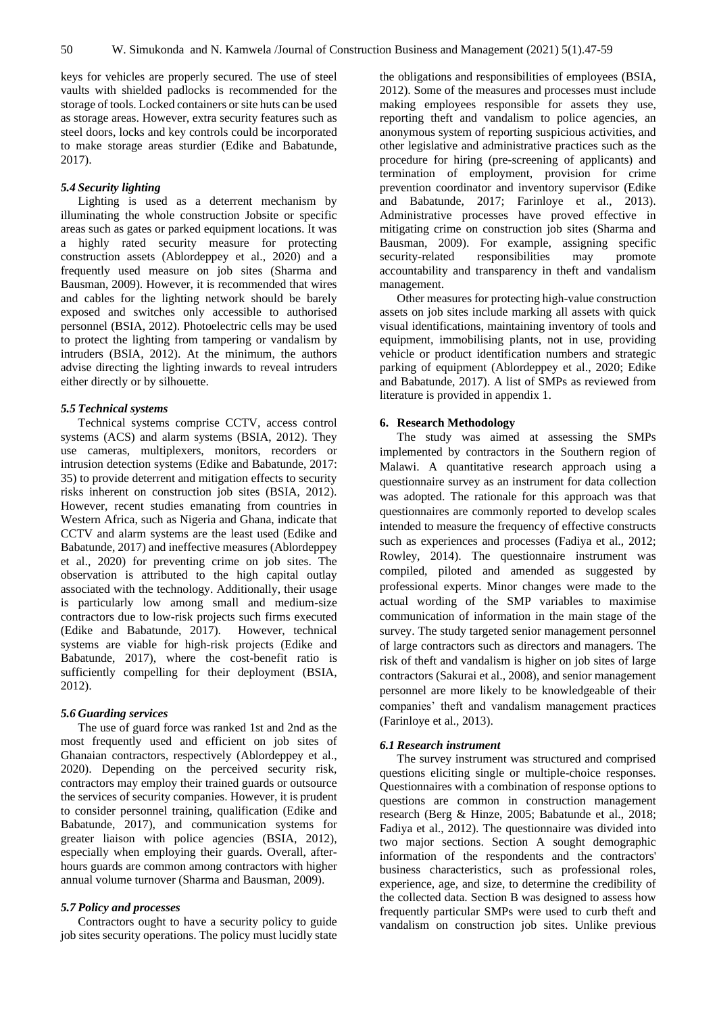keys for vehicles are properly secured. The use of steel vaults with shielded padlocks is recommended for the storage of tools. Locked containers or site huts can be used as storage areas. However, extra security features such as steel doors, locks and key controls could be incorporated to make storage areas sturdier (Edike and Babatunde, 2017).

## *5.4 Security lighting*

Lighting is used as a deterrent mechanism by illuminating the whole construction Jobsite or specific areas such as gates or parked equipment locations. It was a highly rated security measure for protecting construction assets (Ablordeppey et al., 2020) and a frequently used measure on job sites (Sharma and Bausman, 2009). However, it is recommended that wires and cables for the lighting network should be barely exposed and switches only accessible to authorised personnel (BSIA, 2012). Photoelectric cells may be used to protect the lighting from tampering or vandalism by intruders (BSIA, 2012). At the minimum, the authors advise directing the lighting inwards to reveal intruders either directly or by silhouette.

#### *5.5 Technical systems*

Technical systems comprise CCTV, access control systems (ACS) and alarm systems (BSIA, 2012). They use cameras, multiplexers, monitors, recorders or intrusion detection systems (Edike and Babatunde, 2017: 35) to provide deterrent and mitigation effects to security risks inherent on construction job sites (BSIA, 2012). However, recent studies emanating from countries in Western Africa, such as Nigeria and Ghana, indicate that CCTV and alarm systems are the least used (Edike and Babatunde, 2017) and ineffective measures (Ablordeppey et al., 2020) for preventing crime on job sites. The observation is attributed to the high capital outlay associated with the technology. Additionally, their usage is particularly low among small and medium-size contractors due to low-risk projects such firms executed (Edike and Babatunde, 2017). However, technical systems are viable for high-risk projects (Edike and Babatunde, 2017), where the cost-benefit ratio is sufficiently compelling for their deployment (BSIA, 2012).

#### *5.6 Guarding services*

The use of guard force was ranked 1st and 2nd as the most frequently used and efficient on job sites of Ghanaian contractors, respectively (Ablordeppey et al., 2020). Depending on the perceived security risk, contractors may employ their trained guards or outsource the services of security companies. However, it is prudent to consider personnel training, qualification (Edike and Babatunde, 2017), and communication systems for greater liaison with police agencies (BSIA, 2012), especially when employing their guards. Overall, afterhours guards are common among contractors with higher annual volume turnover (Sharma and Bausman, 2009).

#### *5.7 Policy and processes*

Contractors ought to have a security policy to guide job sites security operations. The policy must lucidly state

the obligations and responsibilities of employees (BSIA, 2012). Some of the measures and processes must include making employees responsible for assets they use, reporting theft and vandalism to police agencies, an anonymous system of reporting suspicious activities, and other legislative and administrative practices such as the procedure for hiring (pre-screening of applicants) and termination of employment, provision for crime prevention coordinator and inventory supervisor (Edike and Babatunde, 2017; Farinloye et al., 2013). Administrative processes have proved effective in mitigating crime on construction job sites (Sharma and Bausman, 2009). For example, assigning specific security-related responsibilities may promote accountability and transparency in theft and vandalism management.

Other measures for protecting high-value construction assets on job sites include marking all assets with quick visual identifications, maintaining inventory of tools and equipment, immobilising plants, not in use, providing vehicle or product identification numbers and strategic parking of equipment (Ablordeppey et al., 2020; Edike and Babatunde, 2017). A list of SMPs as reviewed from literature is provided in appendix 1.

# **6. Research Methodology**

The study was aimed at assessing the SMPs implemented by contractors in the Southern region of Malawi. A quantitative research approach using a questionnaire survey as an instrument for data collection was adopted. The rationale for this approach was that questionnaires are commonly reported to develop scales intended to measure the frequency of effective constructs such as experiences and processes (Fadiya et al., 2012; Rowley, 2014). The questionnaire instrument was compiled, piloted and amended as suggested by professional experts. Minor changes were made to the actual wording of the SMP variables to maximise communication of information in the main stage of the survey. The study targeted senior management personnel of large contractors such as directors and managers. The risk of theft and vandalism is higher on job sites of large contractors (Sakurai et al., 2008), and senior management personnel are more likely to be knowledgeable of their companies' theft and vandalism management practices (Farinloye et al., 2013).

## *6.1 Research instrument*

The survey instrument was structured and comprised questions eliciting single or multiple-choice responses. Questionnaires with a combination of response options to questions are common in construction management research (Berg & Hinze, 2005; Babatunde et al., 2018; Fadiya et al., 2012). The questionnaire was divided into two major sections. Section A sought demographic information of the respondents and the contractors' business characteristics, such as professional roles, experience, age, and size, to determine the credibility of the collected data. Section B was designed to assess how frequently particular SMPs were used to curb theft and vandalism on construction job sites. Unlike previous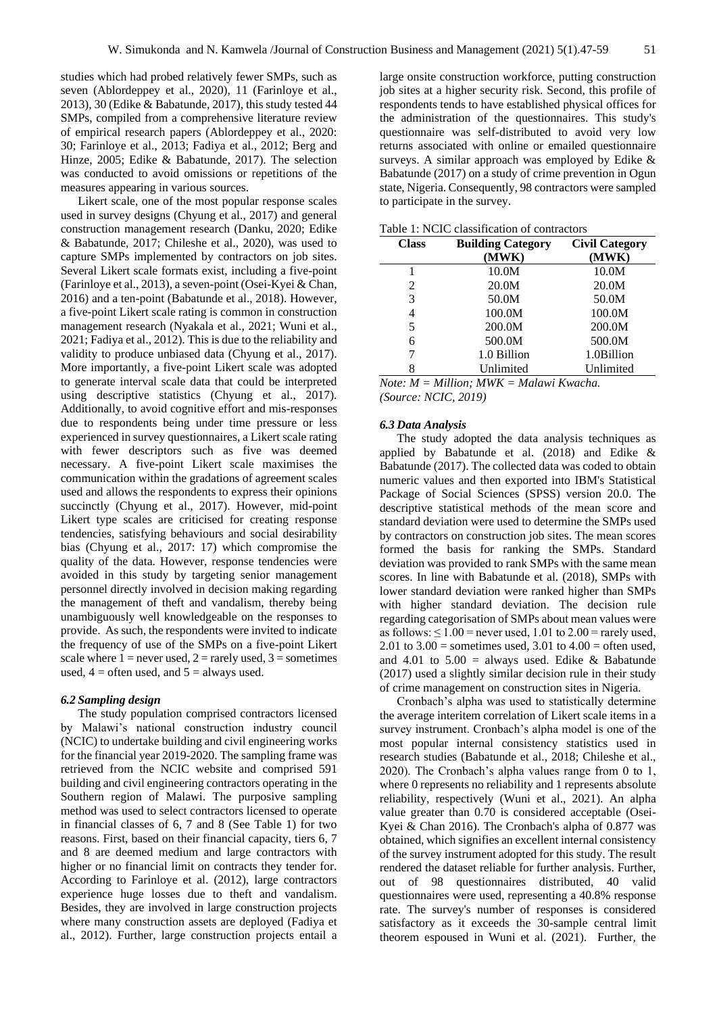studies which had probed relatively fewer SMPs, such as seven (Ablordeppey et al., 2020), 11 (Farinloye et al., 2013), 30 (Edike & Babatunde, 2017), this study tested 44 SMPs, compiled from a comprehensive literature review of empirical research papers (Ablordeppey et al., 2020: 30; Farinloye et al., 2013; Fadiya et al., 2012; Berg and Hinze, 2005; Edike & Babatunde, 2017). The selection was conducted to avoid omissions or repetitions of the measures appearing in various sources.

Likert scale, one of the most popular response scales used in survey designs (Chyung et al., 2017) and general construction management research (Danku, 2020; Edike & Babatunde, 2017; Chileshe et al., 2020), was used to capture SMPs implemented by contractors on job sites. Several Likert scale formats exist, including a five-point (Farinloye et al., 2013), a seven-point (Osei-Kyei & Chan, 2016) and a ten-point (Babatunde et al., 2018). However, a five-point Likert scale rating is common in construction management research (Nyakala et al., 2021; Wuni et al., 2021; Fadiya et al., 2012). This is due to the reliability and validity to produce unbiased data (Chyung et al., 2017). More importantly, a five-point Likert scale was adopted to generate interval scale data that could be interpreted using descriptive statistics (Chyung et al., 2017). Additionally, to avoid cognitive effort and mis-responses due to respondents being under time pressure or less experienced in survey questionnaires, a Likert scale rating with fewer descriptors such as five was deemed necessary. A five-point Likert scale maximises the communication within the gradations of agreement scales used and allows the respondents to express their opinions succinctly (Chyung et al., 2017). However, mid-point Likert type scales are criticised for creating response tendencies, satisfying behaviours and social desirability bias (Chyung et al., 2017: 17) which compromise the quality of the data. However, response tendencies were avoided in this study by targeting senior management personnel directly involved in decision making regarding the management of theft and vandalism, thereby being unambiguously well knowledgeable on the responses to provide. As such, the respondents were invited to indicate the frequency of use of the SMPs on a five-point Likert scale where  $1 =$  never used,  $2 =$  rarely used,  $3 =$  sometimes used,  $4 =$  often used, and  $5 =$  always used.

## *6.2 Sampling design*

The study population comprised contractors licensed by Malawi's national construction industry council (NCIC) to undertake building and civil engineering works for the financial year 2019-2020. The sampling frame was retrieved from the NCIC website and comprised 591 building and civil engineering contractors operating in the Southern region of Malawi. The purposive sampling method was used to select contractors licensed to operate in financial classes of 6, 7 and 8 (See Table 1) for two reasons. First, based on their financial capacity, tiers 6, 7 and 8 are deemed medium and large contractors with higher or no financial limit on contracts they tender for. According to Farinloye et al. (2012), large contractors experience huge losses due to theft and vandalism. Besides, they are involved in large construction projects where many construction assets are deployed (Fadiya et al., 2012). Further, large construction projects entail a

large onsite construction workforce, putting construction job sites at a higher security risk. Second, this profile of respondents tends to have established physical offices for the administration of the questionnaires. This study's questionnaire was self-distributed to avoid very low returns associated with online or emailed questionnaire surveys. A similar approach was employed by Edike & Babatunde (2017) on a study of crime prevention in Ogun state, Nigeria. Consequently, 98 contractors were sampled to participate in the survey.

| <b>Class</b> | <b>Building Category</b> | <b>Civil Category</b> |
|--------------|--------------------------|-----------------------|
|              | (MWK)                    | (MWK)                 |
|              | 10.0M                    | 10.0M                 |
| 2            | 20.0M                    | 20.0M                 |
| 3            | 50.0M                    | 50.0M                 |
| 4            | 100.0M                   | 100.0M                |
| 5            | 200.0M                   | 200.0M                |
| 6            | 500.0M                   | 500.0M                |
| 7            | 1.0 Billion              | 1.0Billion            |
| 8            | Unlimited                | Unlimited             |

Table 1: NCIC classification of contractors

*Note: M = Million; MWK = Malawi Kwacha. (Source: NCIC, 2019)*

#### *6.3 Data Analysis*

The study adopted the data analysis techniques as applied by Babatunde et al. (2018) and Edike & Babatunde (2017). The collected data was coded to obtain numeric values and then exported into IBM's Statistical Package of Social Sciences (SPSS) version 20.0. The descriptive statistical methods of the mean score and standard deviation were used to determine the SMPs used by contractors on construction job sites. The mean scores formed the basis for ranking the SMPs. Standard deviation was provided to rank SMPs with the same mean scores. In line with Babatunde et al. (2018), SMPs with lower standard deviation were ranked higher than SMPs with higher standard deviation. The decision rule regarding categorisation of SMPs about mean values were as follows:  $\leq 1.00$  = never used, 1.01 to 2.00 = rarely used, 2.01 to  $3.00$  = sometimes used,  $3.01$  to  $4.00$  = often used, and 4.01 to  $5.00 =$  always used. Edike & Babatunde (2017) used a slightly similar decision rule in their study of crime management on construction sites in Nigeria.

Cronbach's alpha was used to statistically determine the average interitem correlation of Likert scale items in a survey instrument. Cronbach's alpha model is one of the most popular internal consistency statistics used in research studies (Babatunde et al., 2018; Chileshe et al., 2020). The Cronbach's alpha values range from 0 to 1, where 0 represents no reliability and 1 represents absolute reliability, respectively (Wuni et al., 2021). An alpha value greater than 0.70 is considered acceptable (Osei-Kyei & Chan 2016). The Cronbach's alpha of 0.877 was obtained, which signifies an excellent internal consistency of the survey instrument adopted for this study. The result rendered the dataset reliable for further analysis. Further, out of 98 questionnaires distributed, 40 valid questionnaires were used, representing a 40.8% response rate. The survey's number of responses is considered satisfactory as it exceeds the 30-sample central limit theorem espoused in Wuni et al. (2021). Further, the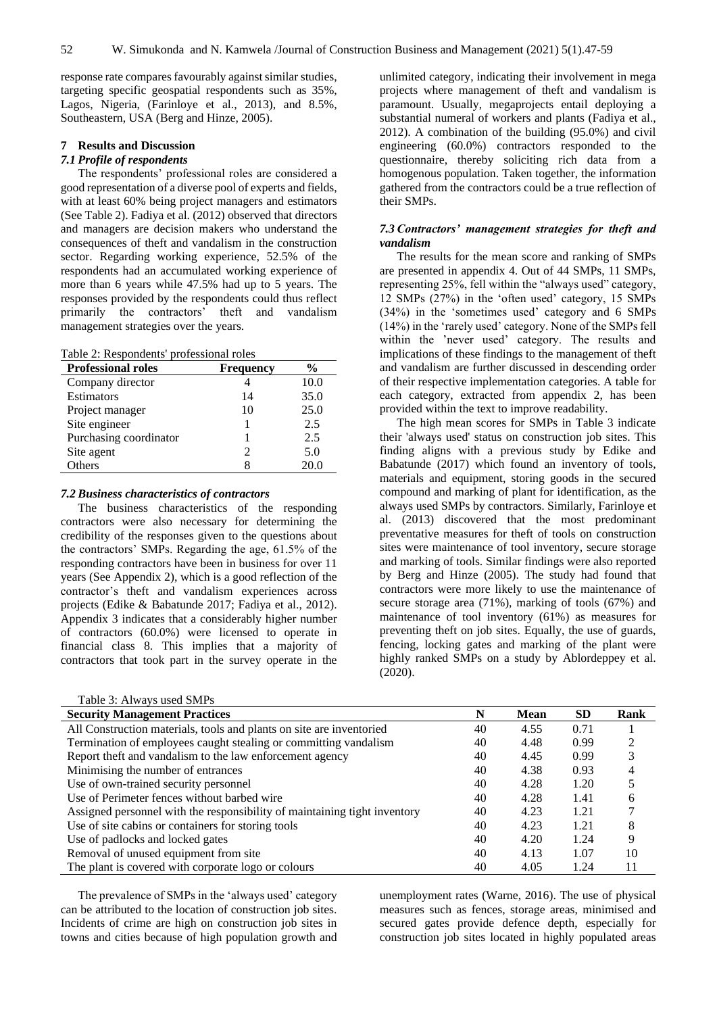response rate compares favourably against similar studies, targeting specific geospatial respondents such as 35%, Lagos, Nigeria, (Farinloye et al., 2013), and 8.5%, Southeastern, USA (Berg and Hinze, 2005).

# **7 Results and Discussion**

# *7.1 Profile of respondents*

The respondents' professional roles are considered a good representation of a diverse pool of experts and fields, with at least 60% being project managers and estimators (See Table 2). Fadiya et al. (2012) observed that directors and managers are decision makers who understand the consequences of theft and vandalism in the construction sector. Regarding working experience, 52.5% of the respondents had an accumulated working experience of more than 6 years while 47.5% had up to 5 years. The responses provided by the respondents could thus reflect primarily the contractors' theft and vandalism management strategies over the years.

#### Table 2: Respondents' professional roles

| <b>Professional roles</b> | <b>Frequency</b> | $\frac{0}{0}$ |
|---------------------------|------------------|---------------|
| Company director          |                  | 10.0          |
| Estimators                | 14               | 35.0          |
| Project manager           | 10               | 25.0          |
| Site engineer             |                  | 2.5           |
| Purchasing coordinator    |                  | 2.5           |
| Site agent                | っ                | 5.0           |
| <b>Others</b>             |                  | 20.0          |

## *7.2 Business characteristics of contractors*

The business characteristics of the responding contractors were also necessary for determining the credibility of the responses given to the questions about the contractors' SMPs. Regarding the age, 61.5% of the responding contractors have been in business for over 11 years (See Appendix 2), which is a good reflection of the contractor's theft and vandalism experiences across projects (Edike & Babatunde 2017; Fadiya et al., 2012). Appendix 3 indicates that a considerably higher number of contractors (60.0%) were licensed to operate in financial class 8. This implies that a majority of contractors that took part in the survey operate in the unlimited category, indicating their involvement in mega projects where management of theft and vandalism is paramount. Usually, megaprojects entail deploying a substantial numeral of workers and plants (Fadiya et al., 2012). A combination of the building (95.0%) and civil engineering (60.0%) contractors responded to the questionnaire, thereby soliciting rich data from a homogenous population. Taken together, the information gathered from the contractors could be a true reflection of their SMPs.

## *7.3 Contractors' management strategies for theft and vandalism*

The results for the mean score and ranking of SMPs are presented in appendix 4. Out of 44 SMPs, 11 SMPs, representing 25%, fell within the "always used" category, 12 SMPs (27%) in the 'often used' category, 15 SMPs (34%) in the 'sometimes used' category and 6 SMPs (14%) in the 'rarely used' category. None of the SMPs fell within the 'never used' category. The results and implications of these findings to the management of theft and vandalism are further discussed in descending order of their respective implementation categories. A table for each category, extracted from appendix 2, has been provided within the text to improve readability.

The high mean scores for SMPs in Table 3 indicate their 'always used' status on construction job sites. This finding aligns with a previous study by Edike and Babatunde (2017) which found an inventory of tools, materials and equipment, storing goods in the secured compound and marking of plant for identification, as the always used SMPs by contractors. Similarly, Farinloye et al. (2013) discovered that the most predominant preventative measures for theft of tools on construction sites were maintenance of tool inventory, secure storage and marking of tools. Similar findings were also reported by Berg and Hinze (2005). The study had found that contractors were more likely to use the maintenance of secure storage area (71%), marking of tools (67%) and maintenance of tool inventory (61%) as measures for preventing theft on job sites. Equally, the use of guards, fencing, locking gates and marking of the plant were highly ranked SMPs on a study by Ablordeppey et al. (2020).

| Table 3: Always used SMPs                                                 |    |             |           |      |
|---------------------------------------------------------------------------|----|-------------|-----------|------|
| <b>Security Management Practices</b>                                      | N  | <b>Mean</b> | <b>SD</b> | Rank |
| All Construction materials, tools and plants on site are inventoried      | 40 | 4.55        | 0.71      |      |
| Termination of employees caught stealing or committing vandalism          | 40 | 4.48        | 0.99      |      |
| Report theft and vandalism to the law enforcement agency                  | 40 | 4.45        | 0.99      |      |
| Minimising the number of entrances                                        | 40 | 4.38        | 0.93      | 4    |
| Use of own-trained security personnel                                     | 40 | 4.28        | 1.20      |      |
| Use of Perimeter fences without barbed wire                               | 40 | 4.28        | 1.41      | 6    |
| Assigned personnel with the responsibility of maintaining tight inventory | 40 | 4.23        | 1.21      |      |
| Use of site cabins or containers for storing tools                        | 40 | 4.23        | 1.21      | 8    |
| Use of padlocks and locked gates                                          | 40 | 4.20        | 1.24      | 9    |
| Removal of unused equipment from site                                     | 40 | 4.13        | 1.07      | 10   |
| The plant is covered with corporate logo or colours                       | 40 | 4.05        | 1.24      | 11   |

The prevalence of SMPs in the 'always used' category can be attributed to the location of construction job sites. Incidents of crime are high on construction job sites in towns and cities because of high population growth and

unemployment rates (Warne, 2016). The use of physical measures such as fences, storage areas, minimised and secured gates provide defence depth, especially for construction job sites located in highly populated areas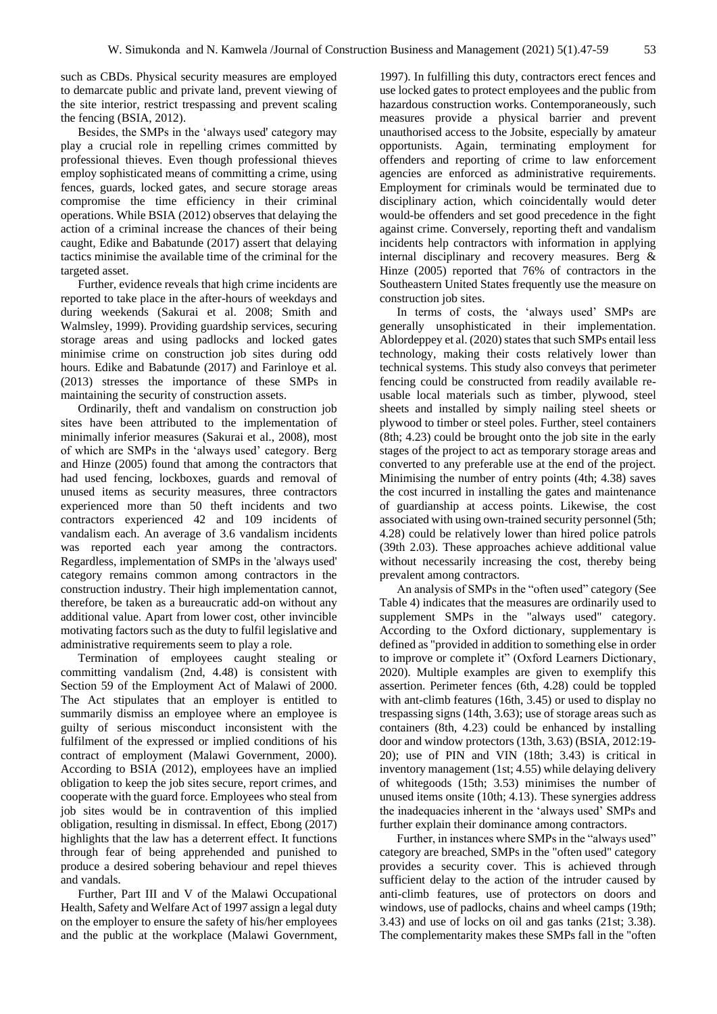such as CBDs. Physical security measures are employed to demarcate public and private land, prevent viewing of the site interior, restrict trespassing and prevent scaling the fencing (BSIA, 2012).

Besides, the SMPs in the 'always used' category may play a crucial role in repelling crimes committed by professional thieves. Even though professional thieves employ sophisticated means of committing a crime, using fences, guards, locked gates, and secure storage areas compromise the time efficiency in their criminal operations. While BSIA (2012) observes that delaying the action of a criminal increase the chances of their being caught, Edike and Babatunde (2017) assert that delaying tactics minimise the available time of the criminal for the targeted asset.

Further, evidence reveals that high crime incidents are reported to take place in the after-hours of weekdays and during weekends (Sakurai et al. 2008; Smith and Walmsley, 1999). Providing guardship services, securing storage areas and using padlocks and locked gates minimise crime on construction job sites during odd hours. Edike and Babatunde (2017) and Farinloye et al. (2013) stresses the importance of these SMPs in maintaining the security of construction assets.

Ordinarily, theft and vandalism on construction job sites have been attributed to the implementation of minimally inferior measures (Sakurai et al., 2008), most of which are SMPs in the 'always used' category. Berg and Hinze (2005) found that among the contractors that had used fencing, lockboxes, guards and removal of unused items as security measures, three contractors experienced more than 50 theft incidents and two contractors experienced 42 and 109 incidents of vandalism each. An average of 3.6 vandalism incidents was reported each year among the contractors. Regardless, implementation of SMPs in the 'always used' category remains common among contractors in the construction industry. Their high implementation cannot, therefore, be taken as a bureaucratic add-on without any additional value. Apart from lower cost, other invincible motivating factors such as the duty to fulfil legislative and administrative requirements seem to play a role.

Termination of employees caught stealing or committing vandalism (2nd, 4.48) is consistent with Section 59 of the Employment Act of Malawi of 2000. The Act stipulates that an employer is entitled to summarily dismiss an employee where an employee is guilty of serious misconduct inconsistent with the fulfilment of the expressed or implied conditions of his contract of employment (Malawi Government, 2000). According to BSIA (2012), employees have an implied obligation to keep the job sites secure, report crimes, and cooperate with the guard force. Employees who steal from job sites would be in contravention of this implied obligation, resulting in dismissal. In effect, Ebong (2017) highlights that the law has a deterrent effect. It functions through fear of being apprehended and punished to produce a desired sobering behaviour and repel thieves and vandals.

Further, Part III and V of the Malawi Occupational Health, Safety and Welfare Act of 1997 assign a legal duty on the employer to ensure the safety of his/her employees and the public at the workplace (Malawi Government,

1997). In fulfilling this duty, contractors erect fences and use locked gates to protect employees and the public from hazardous construction works. Contemporaneously, such measures provide a physical barrier and prevent unauthorised access to the Jobsite, especially by amateur opportunists. Again, terminating employment for offenders and reporting of crime to law enforcement agencies are enforced as administrative requirements. Employment for criminals would be terminated due to disciplinary action, which coincidentally would deter would-be offenders and set good precedence in the fight against crime. Conversely, reporting theft and vandalism incidents help contractors with information in applying internal disciplinary and recovery measures. Berg & Hinze (2005) reported that 76% of contractors in the Southeastern United States frequently use the measure on construction job sites.

In terms of costs, the 'always used' SMPs are generally unsophisticated in their implementation. Ablordeppey et al. (2020) states that such SMPs entail less technology, making their costs relatively lower than technical systems. This study also conveys that perimeter fencing could be constructed from readily available reusable local materials such as timber, plywood, steel sheets and installed by simply nailing steel sheets or plywood to timber or steel poles. Further, steel containers (8th; 4.23) could be brought onto the job site in the early stages of the project to act as temporary storage areas and converted to any preferable use at the end of the project. Minimising the number of entry points (4th; 4.38) saves the cost incurred in installing the gates and maintenance of guardianship at access points. Likewise, the cost associated with using own-trained security personnel (5th; 4.28) could be relatively lower than hired police patrols (39th 2.03). These approaches achieve additional value without necessarily increasing the cost, thereby being prevalent among contractors.

An analysis of SMPs in the "often used" category (See Table 4) indicates that the measures are ordinarily used to supplement SMPs in the "always used" category. According to the Oxford dictionary, supplementary is defined as "provided in addition to something else in order to improve or complete it" (Oxford Learners Dictionary, 2020). Multiple examples are given to exemplify this assertion. Perimeter fences (6th, 4.28) could be toppled with ant-climb features (16th, 3.45) or used to display no trespassing signs (14th, 3.63); use of storage areas such as containers (8th, 4.23) could be enhanced by installing door and window protectors (13th, 3.63) (BSIA, 2012:19- 20); use of PIN and VIN (18th; 3.43) is critical in inventory management (1st; 4.55) while delaying delivery of whitegoods (15th; 3.53) minimises the number of unused items onsite (10th; 4.13). These synergies address the inadequacies inherent in the 'always used' SMPs and further explain their dominance among contractors.

Further, in instances where SMPs in the "always used" category are breached, SMPs in the "often used" category provides a security cover. This is achieved through sufficient delay to the action of the intruder caused by anti-climb features, use of protectors on doors and windows, use of padlocks, chains and wheel camps (19th; 3.43) and use of locks on oil and gas tanks (21st; 3.38). The complementarity makes these SMPs fall in the "often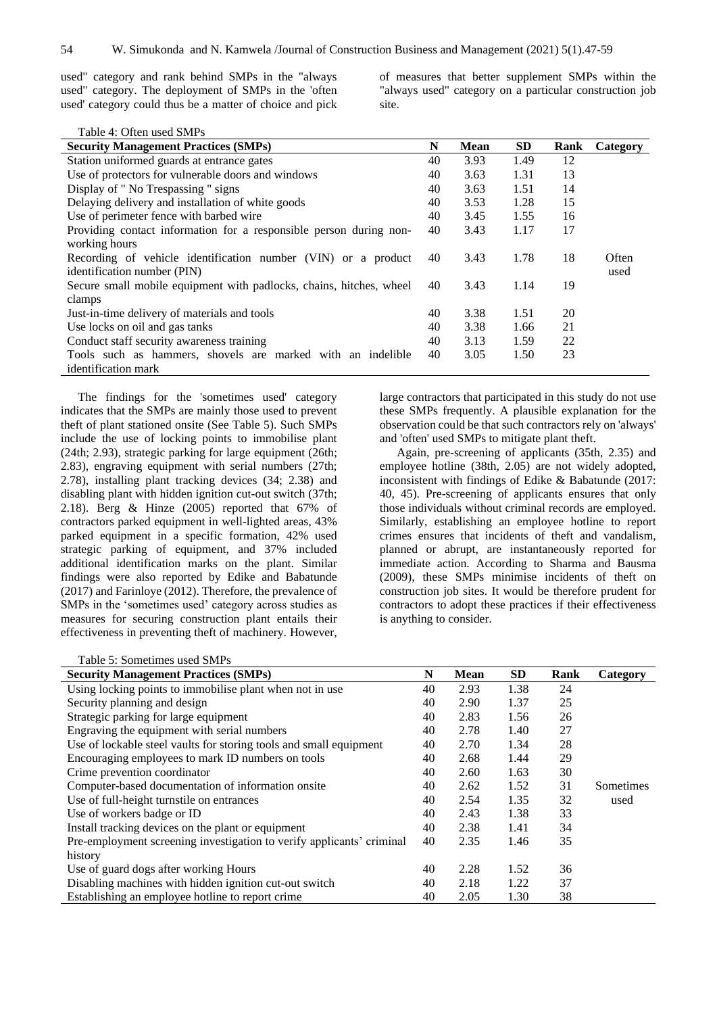used" category and rank behind SMPs in the "always used" category. The deployment of SMPs in the 'often used' category could thus be a matter of choice and pick of measures that better supplement SMPs within the "always used" category on a particular construction job site.

| Table 4: Often used SMPs                                            |    |             |           |      |          |
|---------------------------------------------------------------------|----|-------------|-----------|------|----------|
| <b>Security Management Practices (SMPs)</b>                         | N  | <b>Mean</b> | <b>SD</b> | Rank | Category |
| Station uniformed guards at entrance gates                          | 40 | 3.93        | 1.49      | 12   |          |
| Use of protectors for vulnerable doors and windows                  | 40 | 3.63        | 1.31      | 13   |          |
| Display of " No Trespassing " signs                                 | 40 | 3.63        | 1.51      | 14   |          |
| Delaying delivery and installation of white goods                   | 40 | 3.53        | 1.28      | 15   |          |
| Use of perimeter fence with barbed wire                             | 40 | 3.45        | 1.55      | 16   |          |
| Providing contact information for a responsible person during non-  | 40 | 3.43        | 1.17      | 17   |          |
| working hours                                                       |    |             |           |      |          |
| Recording of vehicle identification number (VIN) or a product       | 40 | 3.43        | 1.78      | 18   | Often    |
| identification number (PIN)                                         |    |             |           |      | used     |
| Secure small mobile equipment with padlocks, chains, hitches, wheel | 40 | 3.43        | 1.14      | 19   |          |
| clamps                                                              |    |             |           |      |          |
| Just-in-time delivery of materials and tools                        | 40 | 3.38        | 1.51      | 20   |          |
| Use locks on oil and gas tanks                                      | 40 | 3.38        | 1.66      | 21   |          |
| Conduct staff security awareness training                           | 40 | 3.13        | 1.59      | 22   |          |
| Tools such as hammers, shovels are marked with an indelible         | 40 | 3.05        | 1.50      | 23   |          |
| identification mark                                                 |    |             |           |      |          |

The findings for the 'sometimes used' category indicates that the SMPs are mainly those used to prevent theft of plant stationed onsite (See Table 5). Such SMPs include the use of locking points to immobilise plant (24th; 2.93), strategic parking for large equipment (26th; 2.83), engraving equipment with serial numbers (27th; 2.78), installing plant tracking devices (34; 2.38) and disabling plant with hidden ignition cut-out switch (37th; 2.18). Berg & Hinze (2005) reported that 67% of contractors parked equipment in well-lighted areas, 43% parked equipment in a specific formation, 42% used strategic parking of equipment, and 37% included additional identification marks on the plant. Similar findings were also reported by Edike and Babatunde (2017) and Farinloye (2012). Therefore, the prevalence of SMPs in the 'sometimes used' category across studies as measures for securing construction plant entails their effectiveness in preventing theft of machinery. However, large contractors that participated in this study do not use these SMPs frequently. A plausible explanation for the observation could be that such contractors rely on 'always' and 'often' used SMPs to mitigate plant theft.

Again, pre-screening of applicants (35th, 2.35) and employee hotline (38th, 2.05) are not widely adopted, inconsistent with findings of Edike & Babatunde (2017: 40, 45). Pre-screening of applicants ensures that only those individuals without criminal records are employed. Similarly, establishing an employee hotline to report crimes ensures that incidents of theft and vandalism, planned or abrupt, are instantaneously reported for immediate action. According to Sharma and Bausma (2009), these SMPs minimise incidents of theft on construction job sites. It would be therefore prudent for contractors to adopt these practices if their effectiveness is anything to consider.

Table 5: Sometimes used SMPs

| табіс э. бонісшнея изси бійн з<br><b>Security Management Practices (SMPs)</b> | N  | <b>Mean</b> | <b>SD</b> | Rank | Category  |
|-------------------------------------------------------------------------------|----|-------------|-----------|------|-----------|
| Using locking points to immobilise plant when not in use                      | 40 | 2.93        | 1.38      | 24   |           |
|                                                                               |    |             |           |      |           |
| Security planning and design                                                  | 40 | 2.90        | 1.37      | 25   |           |
| Strategic parking for large equipment                                         | 40 | 2.83        | 1.56      | 26   |           |
| Engraving the equipment with serial numbers                                   | 40 | 2.78        | 1.40      | 27   |           |
| Use of lockable steel vaults for storing tools and small equipment            | 40 | 2.70        | 1.34      | 28   |           |
| Encouraging employees to mark ID numbers on tools                             | 40 | 2.68        | 1.44      | 29   |           |
| Crime prevention coordinator                                                  | 40 | 2.60        | 1.63      | 30   |           |
| Computer-based documentation of information onsite                            | 40 | 2.62        | 1.52      | 31   | Sometimes |
| Use of full-height turnstile on entrances                                     | 40 | 2.54        | 1.35      | 32   | used      |
| Use of workers badge or ID                                                    | 40 | 2.43        | 1.38      | 33   |           |
| Install tracking devices on the plant or equipment                            | 40 | 2.38        | 1.41      | 34   |           |
| Pre-employment screening investigation to verify applicants' criminal         | 40 | 2.35        | 1.46      | 35   |           |
| history                                                                       |    |             |           |      |           |
| Use of guard dogs after working Hours                                         | 40 | 2.28        | 1.52      | 36   |           |
| Disabling machines with hidden ignition cut-out switch                        | 40 | 2.18        | 1.22      | 37   |           |
| Establishing an employee hotline to report crime                              | 40 | 2.05        | 1.30      | 38   |           |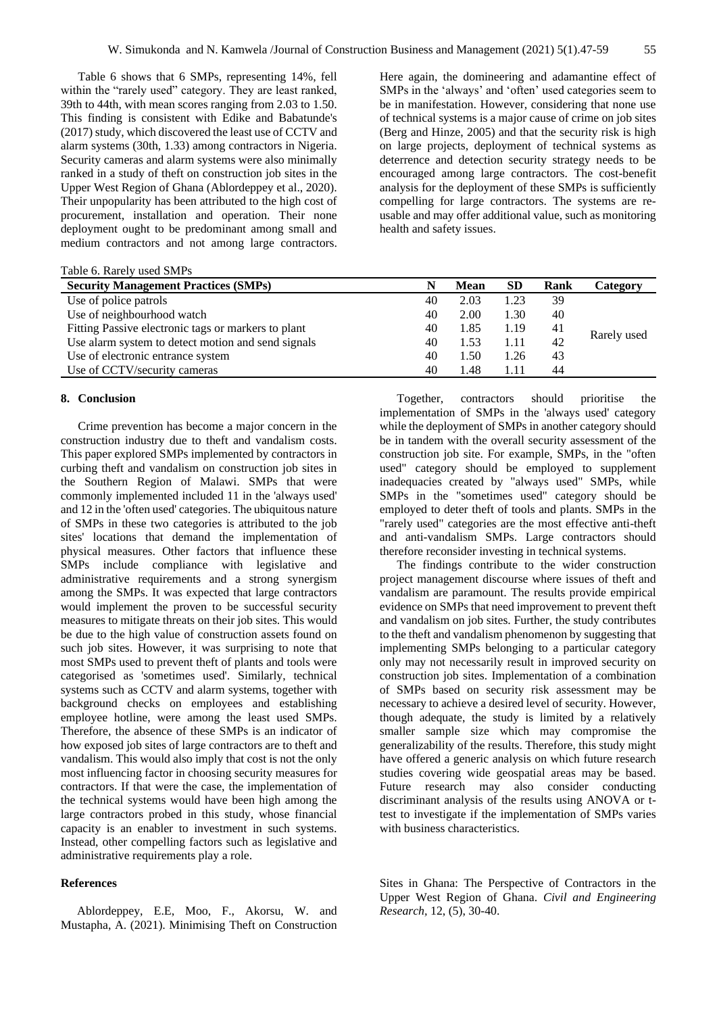Table 6 shows that 6 SMPs, representing 14%, fell within the "rarely used" category. They are least ranked, 39th to 44th, with mean scores ranging from 2.03 to 1.50. This finding is consistent with Edike and Babatunde's (2017) study, which discovered the least use of CCTV and alarm systems (30th, 1.33) among contractors in Nigeria. Security cameras and alarm systems were also minimally ranked in a study of theft on construction job sites in the Upper West Region of Ghana (Ablordeppey et al., 2020). Their unpopularity has been attributed to the high cost of procurement, installation and operation. Their none deployment ought to be predominant among small and medium contractors and not among large contractors.

| <b>Security Management Practices (SMPs)</b>         | N  | Mean | <b>SD</b> | Rank | Category    |
|-----------------------------------------------------|----|------|-----------|------|-------------|
| Use of police patrols                               | 40 | 2.03 | 1.23      | 39   |             |
| Use of neighbourhood watch                          | 40 | 2.00 | 1.30      | 40   |             |
| Fitting Passive electronic tags or markers to plant | 40 | 1.85 | 1.19      | 41   |             |
| Use alarm system to detect motion and send signals  | 40 | 1.53 | 1.11      | 42   | Rarely used |
| Use of electronic entrance system                   | 40 | 1.50 | 1.26      | 43   |             |
| Use of CCTV/security cameras                        | 40 | 1.48 |           | 44   |             |

#### **8. Conclusion**

Crime prevention has become a major concern in the construction industry due to theft and vandalism costs. This paper explored SMPs implemented by contractors in curbing theft and vandalism on construction job sites in the Southern Region of Malawi. SMPs that were commonly implemented included 11 in the 'always used' and 12 in the 'often used' categories. The ubiquitous nature of SMPs in these two categories is attributed to the job sites' locations that demand the implementation of physical measures. Other factors that influence these SMPs include compliance with legislative and administrative requirements and a strong synergism among the SMPs. It was expected that large contractors would implement the proven to be successful security measures to mitigate threats on their job sites. This would be due to the high value of construction assets found on such job sites. However, it was surprising to note that most SMPs used to prevent theft of plants and tools were categorised as 'sometimes used'. Similarly, technical systems such as CCTV and alarm systems, together with background checks on employees and establishing employee hotline, were among the least used SMPs. Therefore, the absence of these SMPs is an indicator of how exposed job sites of large contractors are to theft and vandalism. This would also imply that cost is not the only most influencing factor in choosing security measures for contractors. If that were the case, the implementation of the technical systems would have been high among the large contractors probed in this study, whose financial capacity is an enabler to investment in such systems. Instead, other compelling factors such as legislative and administrative requirements play a role.

## **References**

Ablordeppey, E.E, Moo, F., Akorsu, W. and Mustapha, A. (2021). Minimising Theft on Construction

Here again, the domineering and adamantine effect of SMPs in the 'always' and 'often' used categories seem to be in manifestation. However, considering that none use of technical systems is a major cause of crime on job sites (Berg and Hinze, 2005) and that the security risk is high on large projects, deployment of technical systems as deterrence and detection security strategy needs to be encouraged among large contractors. The cost-benefit analysis for the deployment of these SMPs is sufficiently compelling for large contractors. The systems are reusable and may offer additional value, such as monitoring health and safety issues.

Together, contractors should prioritise the implementation of SMPs in the 'always used' category while the deployment of SMPs in another category should be in tandem with the overall security assessment of the construction job site. For example, SMPs, in the "often used" category should be employed to supplement inadequacies created by "always used" SMPs, while SMPs in the "sometimes used" category should be employed to deter theft of tools and plants. SMPs in the "rarely used" categories are the most effective anti-theft and anti-vandalism SMPs. Large contractors should therefore reconsider investing in technical systems.

The findings contribute to the wider construction project management discourse where issues of theft and vandalism are paramount. The results provide empirical evidence on SMPs that need improvement to prevent theft and vandalism on job sites. Further, the study contributes to the theft and vandalism phenomenon by suggesting that implementing SMPs belonging to a particular category only may not necessarily result in improved security on construction job sites. Implementation of a combination of SMPs based on security risk assessment may be necessary to achieve a desired level of security. However, though adequate, the study is limited by a relatively smaller sample size which may compromise the generalizability of the results. Therefore, this study might have offered a generic analysis on which future research studies covering wide geospatial areas may be based. Future research may also consider conducting discriminant analysis of the results using ANOVA or ttest to investigate if the implementation of SMPs varies with business characteristics.

Sites in Ghana: The Perspective of Contractors in the Upper West Region of Ghana. *Civil and Engineering Research,* 12, (5), 30-40.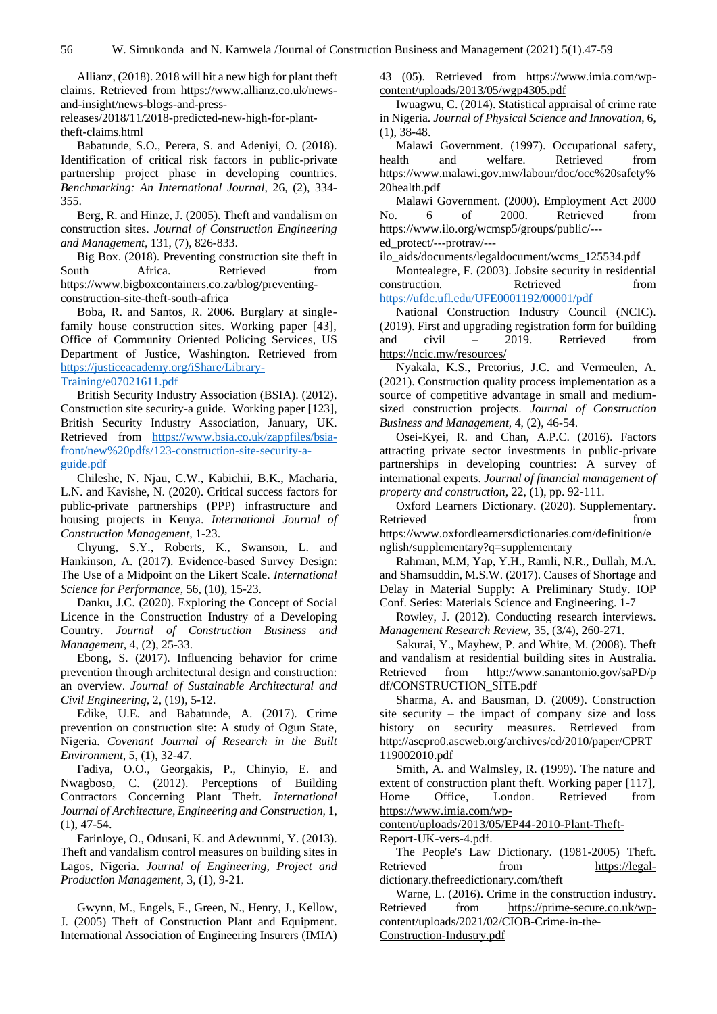Allianz, (2018). 2018 will hit a new high for plant theft claims. Retrieved from [https://www.allianz.co.uk/news](https://www.allianz.co.uk/news-and-insight/news-blogs-and-press-releases/2018/11/2018-predicted-new-high-for-plant-theft-claims.html)[and-insight/news-blogs-and-press-](https://www.allianz.co.uk/news-and-insight/news-blogs-and-press-releases/2018/11/2018-predicted-new-high-for-plant-theft-claims.html)

[releases/2018/11/2018-predicted-new-high-for-plant](https://www.allianz.co.uk/news-and-insight/news-blogs-and-press-releases/2018/11/2018-predicted-new-high-for-plant-theft-claims.html)[theft-claims.html](https://www.allianz.co.uk/news-and-insight/news-blogs-and-press-releases/2018/11/2018-predicted-new-high-for-plant-theft-claims.html)

Babatunde, S.O., Perera, S. and Adeniyi, O. (2018). Identification of critical risk factors in public-private partnership project phase in developing countries. *Benchmarking: An International Journal,* 26, (2), 334- 355.

Berg, R. and Hinze, J. (2005). Theft and vandalism on construction sites. *Journal of Construction Engineering and Management,* 131, (7), 826-833.

Big Box. (2018). Preventing construction site theft in South Africa. Retrieved from [https://www.bigboxcontainers.co.za/blog/preventing](https://www.bigboxcontainers.co.za/blog/preventing-construction-site-theft-south-africa)[construction-site-theft-south-africa](https://www.bigboxcontainers.co.za/blog/preventing-construction-site-theft-south-africa)

Boba, R. and Santos, R. 2006. Burglary at singlefamily house construction sites. Working paper [43], Office of Community Oriented Policing Services, US Department of Justice, Washington. Retrieved from [https://justiceacademy.org/iShare/Library-](https://justiceacademy.org/iShare/Library-Training/e07021611.pdf)[Training/e07021611.pdf](https://justiceacademy.org/iShare/Library-Training/e07021611.pdf)

British Security Industry Association (BSIA). (2012). Construction site security-a guide. Working paper [123], British Security Industry Association, January, UK. Retrieved from [https://www.bsia.co.uk/zappfiles/bsia](https://www.bsia.co.uk/zappfiles/bsia-front/new%20pdfs/123-construction-site-security-a-guide.pdf)[front/new%20pdfs/123-construction-site-security-a](https://www.bsia.co.uk/zappfiles/bsia-front/new%20pdfs/123-construction-site-security-a-guide.pdf)[guide.pdf](https://www.bsia.co.uk/zappfiles/bsia-front/new%20pdfs/123-construction-site-security-a-guide.pdf)

Chileshe, N. Njau, C.W., Kabichii, B.K., Macharia, L.N. and Kavishe, N. (2020). Critical success factors for public-private partnerships (PPP) infrastructure and housing projects in Kenya. *International Journal of Construction Management,* 1-23.

Chyung, S.Y., Roberts, K., Swanson, L. and Hankinson, A. (2017). Evidence-based Survey Design: The Use of a Midpoint on the Likert Scale. *International Science for Performance*, 56, (10), 15-23.

Danku, J.C. (2020). Exploring the Concept of Social Licence in the Construction Industry of a Developing Country. *Journal of Construction Business and Management,* 4, (2), 25-33.

Ebong, S. (2017). Influencing behavior for crime prevention through architectural design and construction: an overview. *Journal of Sustainable Architectural and Civil Engineering,* 2, (19), 5-12.

Edike, U.E. and Babatunde, A. (2017). Crime prevention on construction site: A study of Ogun State, Nigeria. *Covenant Journal of Research in the Built Environment,* 5, (1), 32-47.

Fadiya, O.O., Georgakis, P., Chinyio, E. and Nwagboso, C. (2012). Perceptions of Building Contractors Concerning Plant Theft. *International Journal of Architecture, Engineering and Construction,* 1, (1), 47-54.

Farinloye, O., Odusani, K. and Adewunmi, Y. (2013). Theft and vandalism control measures on building sites in Lagos, Nigeria. *Journal of Engineering, Project and Production Management*, 3, (1), 9-21.

Gwynn, M., Engels, F., Green, N., Henry, J., Kellow, J. (2005) Theft of Construction Plant and Equipment. International Association of Engineering Insurers (IMIA) 43 (05). Retrieved from [https://www.imia.com/wp](https://www.imia.com/wp-content/uploads/2013/05/wgp4305.pdf)[content/uploads/2013/05/wgp4305.pdf](https://www.imia.com/wp-content/uploads/2013/05/wgp4305.pdf)

Iwuagwu, C. (2014). Statistical appraisal of crime rate in Nigeria. *Journal of Physical Science and Innovation*, 6, (1), 38-48.

Malawi Government. (1997). Occupational safety, health and welfare. Retrieved from [https://www.malawi.gov.mw/labour/doc/occ%20safety%](https://www.malawi.gov.mw/labour/doc/occ%20safety%20health.pdf) [20health.pdf](https://www.malawi.gov.mw/labour/doc/occ%20safety%20health.pdf)

Malawi Government. (2000). Employment Act 2000 No. 6 of 2000. Retrieved from [https://www.ilo.org/wcmsp5/groups/public/--](https://www.ilo.org/wcmsp5/groups/public/---ed_protect/---protrav/---ilo_aids/documents/legaldocument/wcms_125534.pdf) [ed\\_protect/---protrav/---](https://www.ilo.org/wcmsp5/groups/public/---ed_protect/---protrav/---ilo_aids/documents/legaldocument/wcms_125534.pdf)

[ilo\\_aids/documents/legaldocument/wcms\\_125534.pdf](https://www.ilo.org/wcmsp5/groups/public/---ed_protect/---protrav/---ilo_aids/documents/legaldocument/wcms_125534.pdf) 

Montealegre, F. (2003). Jobsite security in residential construction. Retrieved from <https://ufdc.ufl.edu/UFE0001192/00001/pdf>

National Construction Industry Council (NCIC). (2019). First and upgrading registration form for building and civil – 2019. Retrieved from <https://ncic.mw/resources/>

Nyakala, K.S., Pretorius, J.C. and Vermeulen, A. (2021). Construction quality process implementation as a source of competitive advantage in small and mediumsized construction projects. *Journal of Construction Business and Management,* 4, (2), 46-54.

Osei-Kyei, R. and Chan, A.P.C. (2016). Factors attracting private sector investments in public-private partnerships in developing countries: A survey of international experts. *Journal of financial management of property and construction*, 22, (1), pp. 92-111.

Oxford Learners Dictionary. (2020). Supplementary. Retrieved from [https://www.oxfordlearnersdictionaries.com/definition/e](https://www.oxfordlearnersdictionaries.com/definition/english/supplementary?q=supplementary) [nglish/supplementary?q=supplementary](https://www.oxfordlearnersdictionaries.com/definition/english/supplementary?q=supplementary)

Rahman, M.M, Yap, Y.H., Ramli, N.R., Dullah, M.A. and Shamsuddin, M.S.W. (2017). Causes of Shortage and Delay in Material Supply: A Preliminary Study. IOP Conf. Series: Materials Science and Engineering. 1-7

Rowley, J. (2012). Conducting research interviews. *Management Research Review,* 35, (3/4), 260-271.

Sakurai, Y., Mayhew, P. and White, M. (2008). Theft and vandalism at residential building sites in Australia. Retrieved from http://www.sanantonio.gov/saPD/p df/CONSTRUCTION\_SITE.pdf

Sharma, A. and Bausman, D. (2009). Construction site security – the impact of company size and loss history on security measures. Retrieved from [http://ascpro0.ascweb.org/archives/cd/2010/paper/CPRT](http://ascpro0.ascweb.org/archives/cd/2010/paper/CPRT119002010.pdf) [119002010.pdf](http://ascpro0.ascweb.org/archives/cd/2010/paper/CPRT119002010.pdf)

Smith, A. and Walmsley, R. (1999). The nature and extent of construction plant theft. Working paper [117], Home Office, London. Retrieved from [https://www.imia.com/wp-](https://www.imia.com/wp-content/uploads/2013/05/EP44-2010-Plant-Theft-Report-UK-vers-4.pdf)

[content/uploads/2013/05/EP44-2010-Plant-Theft-](https://www.imia.com/wp-content/uploads/2013/05/EP44-2010-Plant-Theft-Report-UK-vers-4.pdf)[Report-UK-vers-4.pdf.](https://www.imia.com/wp-content/uploads/2013/05/EP44-2010-Plant-Theft-Report-UK-vers-4.pdf)

The People's Law Dictionary. (1981-2005) Theft. Retrieved from [https://legal](https://legal-dictionary.thefreedictionary.com/theft)[dictionary.thefreedictionary.com/theft](https://legal-dictionary.thefreedictionary.com/theft)

Warne, L. (2016). Crime in the construction industry. Retrieved from [https://prime-secure.co.uk/wp](https://prime-secure.co.uk/wp-content/uploads/2021/02/CIOB-Crime-in-the-Construction-Industry.pdf)[content/uploads/2021/02/CIOB-Crime-in-the-](https://prime-secure.co.uk/wp-content/uploads/2021/02/CIOB-Crime-in-the-Construction-Industry.pdf)[Construction-Industry.pdf](https://prime-secure.co.uk/wp-content/uploads/2021/02/CIOB-Crime-in-the-Construction-Industry.pdf)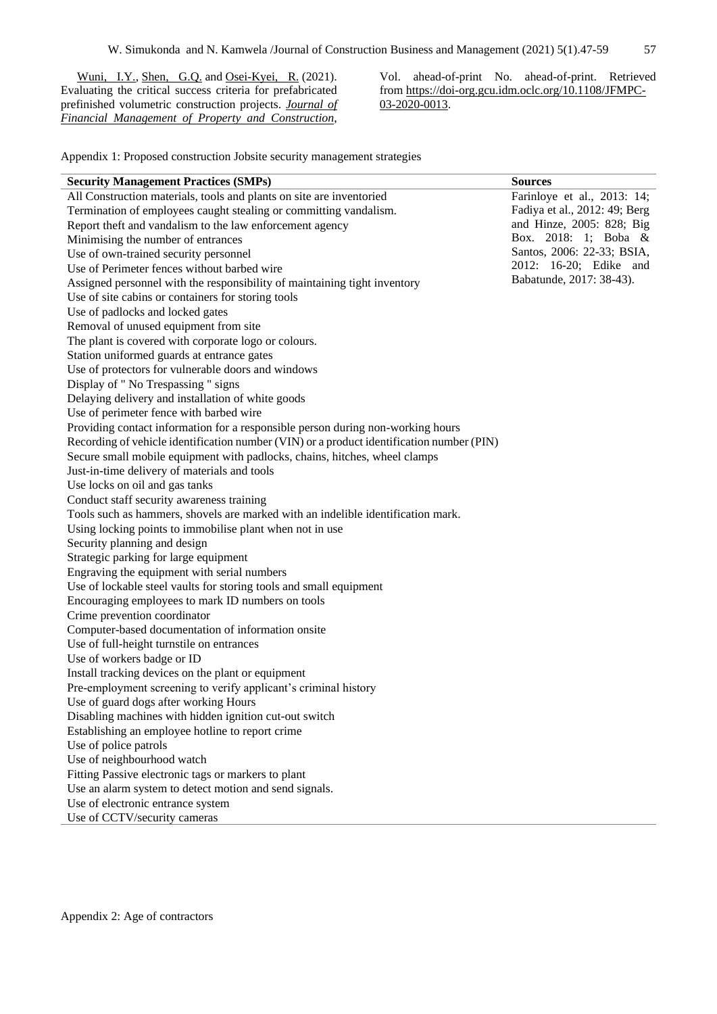[Wuni, I.Y.,](https://www-emerald-com.gcu.idm.oclc.org/insight/search?q=Ibrahim%20Yahaya%20Wuni) [Shen, G.Q.](https://www-emerald-com.gcu.idm.oclc.org/insight/search?q=Geoffrey%20Qiping%20Shen) and [Osei-Kyei, R.](https://www-emerald-com.gcu.idm.oclc.org/insight/search?q=Robert%20Osei-Kyei) (2021). Evaluating the critical success criteria for prefabricated prefinished volumetric construction projects. *[Journal of](https://www-emerald-com.gcu.idm.oclc.org/insight/publication/issn/1366-4387)  [Financial Management of Property and Construction](https://www-emerald-com.gcu.idm.oclc.org/insight/publication/issn/1366-4387)*,

Vol. ahead-of-print No. ahead-of-print. Retrieved from [https://doi-org.gcu.idm.oclc.org/10.1108/JFMPC-](https://doi-org.gcu.idm.oclc.org/10.1108/JFMPC-03-2020-0013)[03-2020-0013.](https://doi-org.gcu.idm.oclc.org/10.1108/JFMPC-03-2020-0013)

Appendix 1: Proposed construction Jobsite security management strategies

| All Construction materials, tools and plants on site are inventoried<br>Farinloye et al., 2013: 14;<br>Fadiya et al., 2012: 49; Berg<br>Termination of employees caught stealing or committing vandalism.<br>and Hinze, 2005: 828; Big<br>Report theft and vandalism to the law enforcement agency<br>Box. 2018: 1; Boba &<br>Minimising the number of entrances<br>Santos, 2006: 22-33; BSIA,<br>Use of own-trained security personnel<br>2012: 16-20; Edike and<br>Use of Perimeter fences without barbed wire<br>Babatunde, 2017: 38-43).<br>Assigned personnel with the responsibility of maintaining tight inventory<br>Use of site cabins or containers for storing tools<br>Use of padlocks and locked gates<br>Removal of unused equipment from site<br>The plant is covered with corporate logo or colours.<br>Station uniformed guards at entrance gates<br>Use of protectors for vulnerable doors and windows<br>Display of " No Trespassing " signs<br>Delaying delivery and installation of white goods<br>Use of perimeter fence with barbed wire<br>Providing contact information for a responsible person during non-working hours<br>Recording of vehicle identification number (VIN) or a product identification number (PIN)<br>Secure small mobile equipment with padlocks, chains, hitches, wheel clamps<br>Just-in-time delivery of materials and tools<br>Use locks on oil and gas tanks<br>Conduct staff security awareness training<br>Tools such as hammers, shovels are marked with an indelible identification mark.<br>Using locking points to immobilise plant when not in use<br>Security planning and design<br>Strategic parking for large equipment<br>Engraving the equipment with serial numbers<br>Use of lockable steel vaults for storing tools and small equipment<br>Encouraging employees to mark ID numbers on tools<br>Crime prevention coordinator<br>Computer-based documentation of information onsite<br>Use of full-height turnstile on entrances<br>Use of workers badge or ID<br>Install tracking devices on the plant or equipment<br>Pre-employment screening to verify applicant's criminal history<br>Use of guard dogs after working Hours<br>Disabling machines with hidden ignition cut-out switch<br>Establishing an employee hotline to report crime<br>Use of police patrols<br>Use of neighbourhood watch<br>Fitting Passive electronic tags or markers to plant<br>Use an alarm system to detect motion and send signals.<br>Use of electronic entrance system<br>Use of CCTV/security cameras | <b>Security Management Practices (SMPs)</b> | <b>Sources</b> |
|---------------------------------------------------------------------------------------------------------------------------------------------------------------------------------------------------------------------------------------------------------------------------------------------------------------------------------------------------------------------------------------------------------------------------------------------------------------------------------------------------------------------------------------------------------------------------------------------------------------------------------------------------------------------------------------------------------------------------------------------------------------------------------------------------------------------------------------------------------------------------------------------------------------------------------------------------------------------------------------------------------------------------------------------------------------------------------------------------------------------------------------------------------------------------------------------------------------------------------------------------------------------------------------------------------------------------------------------------------------------------------------------------------------------------------------------------------------------------------------------------------------------------------------------------------------------------------------------------------------------------------------------------------------------------------------------------------------------------------------------------------------------------------------------------------------------------------------------------------------------------------------------------------------------------------------------------------------------------------------------------------------------------------------------------------------------------------------------------------------------------------------------------------------------------------------------------------------------------------------------------------------------------------------------------------------------------------------------------------------------------------------------------------------------------------------------------------------------------------------------------------------------------------------------------------------|---------------------------------------------|----------------|
|                                                                                                                                                                                                                                                                                                                                                                                                                                                                                                                                                                                                                                                                                                                                                                                                                                                                                                                                                                                                                                                                                                                                                                                                                                                                                                                                                                                                                                                                                                                                                                                                                                                                                                                                                                                                                                                                                                                                                                                                                                                                                                                                                                                                                                                                                                                                                                                                                                                                                                                                                               |                                             |                |
|                                                                                                                                                                                                                                                                                                                                                                                                                                                                                                                                                                                                                                                                                                                                                                                                                                                                                                                                                                                                                                                                                                                                                                                                                                                                                                                                                                                                                                                                                                                                                                                                                                                                                                                                                                                                                                                                                                                                                                                                                                                                                                                                                                                                                                                                                                                                                                                                                                                                                                                                                               |                                             |                |
|                                                                                                                                                                                                                                                                                                                                                                                                                                                                                                                                                                                                                                                                                                                                                                                                                                                                                                                                                                                                                                                                                                                                                                                                                                                                                                                                                                                                                                                                                                                                                                                                                                                                                                                                                                                                                                                                                                                                                                                                                                                                                                                                                                                                                                                                                                                                                                                                                                                                                                                                                               |                                             |                |
|                                                                                                                                                                                                                                                                                                                                                                                                                                                                                                                                                                                                                                                                                                                                                                                                                                                                                                                                                                                                                                                                                                                                                                                                                                                                                                                                                                                                                                                                                                                                                                                                                                                                                                                                                                                                                                                                                                                                                                                                                                                                                                                                                                                                                                                                                                                                                                                                                                                                                                                                                               |                                             |                |
|                                                                                                                                                                                                                                                                                                                                                                                                                                                                                                                                                                                                                                                                                                                                                                                                                                                                                                                                                                                                                                                                                                                                                                                                                                                                                                                                                                                                                                                                                                                                                                                                                                                                                                                                                                                                                                                                                                                                                                                                                                                                                                                                                                                                                                                                                                                                                                                                                                                                                                                                                               |                                             |                |
|                                                                                                                                                                                                                                                                                                                                                                                                                                                                                                                                                                                                                                                                                                                                                                                                                                                                                                                                                                                                                                                                                                                                                                                                                                                                                                                                                                                                                                                                                                                                                                                                                                                                                                                                                                                                                                                                                                                                                                                                                                                                                                                                                                                                                                                                                                                                                                                                                                                                                                                                                               |                                             |                |
|                                                                                                                                                                                                                                                                                                                                                                                                                                                                                                                                                                                                                                                                                                                                                                                                                                                                                                                                                                                                                                                                                                                                                                                                                                                                                                                                                                                                                                                                                                                                                                                                                                                                                                                                                                                                                                                                                                                                                                                                                                                                                                                                                                                                                                                                                                                                                                                                                                                                                                                                                               |                                             |                |
|                                                                                                                                                                                                                                                                                                                                                                                                                                                                                                                                                                                                                                                                                                                                                                                                                                                                                                                                                                                                                                                                                                                                                                                                                                                                                                                                                                                                                                                                                                                                                                                                                                                                                                                                                                                                                                                                                                                                                                                                                                                                                                                                                                                                                                                                                                                                                                                                                                                                                                                                                               |                                             |                |
|                                                                                                                                                                                                                                                                                                                                                                                                                                                                                                                                                                                                                                                                                                                                                                                                                                                                                                                                                                                                                                                                                                                                                                                                                                                                                                                                                                                                                                                                                                                                                                                                                                                                                                                                                                                                                                                                                                                                                                                                                                                                                                                                                                                                                                                                                                                                                                                                                                                                                                                                                               |                                             |                |
|                                                                                                                                                                                                                                                                                                                                                                                                                                                                                                                                                                                                                                                                                                                                                                                                                                                                                                                                                                                                                                                                                                                                                                                                                                                                                                                                                                                                                                                                                                                                                                                                                                                                                                                                                                                                                                                                                                                                                                                                                                                                                                                                                                                                                                                                                                                                                                                                                                                                                                                                                               |                                             |                |
|                                                                                                                                                                                                                                                                                                                                                                                                                                                                                                                                                                                                                                                                                                                                                                                                                                                                                                                                                                                                                                                                                                                                                                                                                                                                                                                                                                                                                                                                                                                                                                                                                                                                                                                                                                                                                                                                                                                                                                                                                                                                                                                                                                                                                                                                                                                                                                                                                                                                                                                                                               |                                             |                |
|                                                                                                                                                                                                                                                                                                                                                                                                                                                                                                                                                                                                                                                                                                                                                                                                                                                                                                                                                                                                                                                                                                                                                                                                                                                                                                                                                                                                                                                                                                                                                                                                                                                                                                                                                                                                                                                                                                                                                                                                                                                                                                                                                                                                                                                                                                                                                                                                                                                                                                                                                               |                                             |                |
|                                                                                                                                                                                                                                                                                                                                                                                                                                                                                                                                                                                                                                                                                                                                                                                                                                                                                                                                                                                                                                                                                                                                                                                                                                                                                                                                                                                                                                                                                                                                                                                                                                                                                                                                                                                                                                                                                                                                                                                                                                                                                                                                                                                                                                                                                                                                                                                                                                                                                                                                                               |                                             |                |
|                                                                                                                                                                                                                                                                                                                                                                                                                                                                                                                                                                                                                                                                                                                                                                                                                                                                                                                                                                                                                                                                                                                                                                                                                                                                                                                                                                                                                                                                                                                                                                                                                                                                                                                                                                                                                                                                                                                                                                                                                                                                                                                                                                                                                                                                                                                                                                                                                                                                                                                                                               |                                             |                |
|                                                                                                                                                                                                                                                                                                                                                                                                                                                                                                                                                                                                                                                                                                                                                                                                                                                                                                                                                                                                                                                                                                                                                                                                                                                                                                                                                                                                                                                                                                                                                                                                                                                                                                                                                                                                                                                                                                                                                                                                                                                                                                                                                                                                                                                                                                                                                                                                                                                                                                                                                               |                                             |                |
|                                                                                                                                                                                                                                                                                                                                                                                                                                                                                                                                                                                                                                                                                                                                                                                                                                                                                                                                                                                                                                                                                                                                                                                                                                                                                                                                                                                                                                                                                                                                                                                                                                                                                                                                                                                                                                                                                                                                                                                                                                                                                                                                                                                                                                                                                                                                                                                                                                                                                                                                                               |                                             |                |
|                                                                                                                                                                                                                                                                                                                                                                                                                                                                                                                                                                                                                                                                                                                                                                                                                                                                                                                                                                                                                                                                                                                                                                                                                                                                                                                                                                                                                                                                                                                                                                                                                                                                                                                                                                                                                                                                                                                                                                                                                                                                                                                                                                                                                                                                                                                                                                                                                                                                                                                                                               |                                             |                |
|                                                                                                                                                                                                                                                                                                                                                                                                                                                                                                                                                                                                                                                                                                                                                                                                                                                                                                                                                                                                                                                                                                                                                                                                                                                                                                                                                                                                                                                                                                                                                                                                                                                                                                                                                                                                                                                                                                                                                                                                                                                                                                                                                                                                                                                                                                                                                                                                                                                                                                                                                               |                                             |                |
|                                                                                                                                                                                                                                                                                                                                                                                                                                                                                                                                                                                                                                                                                                                                                                                                                                                                                                                                                                                                                                                                                                                                                                                                                                                                                                                                                                                                                                                                                                                                                                                                                                                                                                                                                                                                                                                                                                                                                                                                                                                                                                                                                                                                                                                                                                                                                                                                                                                                                                                                                               |                                             |                |
|                                                                                                                                                                                                                                                                                                                                                                                                                                                                                                                                                                                                                                                                                                                                                                                                                                                                                                                                                                                                                                                                                                                                                                                                                                                                                                                                                                                                                                                                                                                                                                                                                                                                                                                                                                                                                                                                                                                                                                                                                                                                                                                                                                                                                                                                                                                                                                                                                                                                                                                                                               |                                             |                |
|                                                                                                                                                                                                                                                                                                                                                                                                                                                                                                                                                                                                                                                                                                                                                                                                                                                                                                                                                                                                                                                                                                                                                                                                                                                                                                                                                                                                                                                                                                                                                                                                                                                                                                                                                                                                                                                                                                                                                                                                                                                                                                                                                                                                                                                                                                                                                                                                                                                                                                                                                               |                                             |                |
|                                                                                                                                                                                                                                                                                                                                                                                                                                                                                                                                                                                                                                                                                                                                                                                                                                                                                                                                                                                                                                                                                                                                                                                                                                                                                                                                                                                                                                                                                                                                                                                                                                                                                                                                                                                                                                                                                                                                                                                                                                                                                                                                                                                                                                                                                                                                                                                                                                                                                                                                                               |                                             |                |
|                                                                                                                                                                                                                                                                                                                                                                                                                                                                                                                                                                                                                                                                                                                                                                                                                                                                                                                                                                                                                                                                                                                                                                                                                                                                                                                                                                                                                                                                                                                                                                                                                                                                                                                                                                                                                                                                                                                                                                                                                                                                                                                                                                                                                                                                                                                                                                                                                                                                                                                                                               |                                             |                |
|                                                                                                                                                                                                                                                                                                                                                                                                                                                                                                                                                                                                                                                                                                                                                                                                                                                                                                                                                                                                                                                                                                                                                                                                                                                                                                                                                                                                                                                                                                                                                                                                                                                                                                                                                                                                                                                                                                                                                                                                                                                                                                                                                                                                                                                                                                                                                                                                                                                                                                                                                               |                                             |                |
|                                                                                                                                                                                                                                                                                                                                                                                                                                                                                                                                                                                                                                                                                                                                                                                                                                                                                                                                                                                                                                                                                                                                                                                                                                                                                                                                                                                                                                                                                                                                                                                                                                                                                                                                                                                                                                                                                                                                                                                                                                                                                                                                                                                                                                                                                                                                                                                                                                                                                                                                                               |                                             |                |
|                                                                                                                                                                                                                                                                                                                                                                                                                                                                                                                                                                                                                                                                                                                                                                                                                                                                                                                                                                                                                                                                                                                                                                                                                                                                                                                                                                                                                                                                                                                                                                                                                                                                                                                                                                                                                                                                                                                                                                                                                                                                                                                                                                                                                                                                                                                                                                                                                                                                                                                                                               |                                             |                |
|                                                                                                                                                                                                                                                                                                                                                                                                                                                                                                                                                                                                                                                                                                                                                                                                                                                                                                                                                                                                                                                                                                                                                                                                                                                                                                                                                                                                                                                                                                                                                                                                                                                                                                                                                                                                                                                                                                                                                                                                                                                                                                                                                                                                                                                                                                                                                                                                                                                                                                                                                               |                                             |                |
|                                                                                                                                                                                                                                                                                                                                                                                                                                                                                                                                                                                                                                                                                                                                                                                                                                                                                                                                                                                                                                                                                                                                                                                                                                                                                                                                                                                                                                                                                                                                                                                                                                                                                                                                                                                                                                                                                                                                                                                                                                                                                                                                                                                                                                                                                                                                                                                                                                                                                                                                                               |                                             |                |
|                                                                                                                                                                                                                                                                                                                                                                                                                                                                                                                                                                                                                                                                                                                                                                                                                                                                                                                                                                                                                                                                                                                                                                                                                                                                                                                                                                                                                                                                                                                                                                                                                                                                                                                                                                                                                                                                                                                                                                                                                                                                                                                                                                                                                                                                                                                                                                                                                                                                                                                                                               |                                             |                |
|                                                                                                                                                                                                                                                                                                                                                                                                                                                                                                                                                                                                                                                                                                                                                                                                                                                                                                                                                                                                                                                                                                                                                                                                                                                                                                                                                                                                                                                                                                                                                                                                                                                                                                                                                                                                                                                                                                                                                                                                                                                                                                                                                                                                                                                                                                                                                                                                                                                                                                                                                               |                                             |                |
|                                                                                                                                                                                                                                                                                                                                                                                                                                                                                                                                                                                                                                                                                                                                                                                                                                                                                                                                                                                                                                                                                                                                                                                                                                                                                                                                                                                                                                                                                                                                                                                                                                                                                                                                                                                                                                                                                                                                                                                                                                                                                                                                                                                                                                                                                                                                                                                                                                                                                                                                                               |                                             |                |
|                                                                                                                                                                                                                                                                                                                                                                                                                                                                                                                                                                                                                                                                                                                                                                                                                                                                                                                                                                                                                                                                                                                                                                                                                                                                                                                                                                                                                                                                                                                                                                                                                                                                                                                                                                                                                                                                                                                                                                                                                                                                                                                                                                                                                                                                                                                                                                                                                                                                                                                                                               |                                             |                |
|                                                                                                                                                                                                                                                                                                                                                                                                                                                                                                                                                                                                                                                                                                                                                                                                                                                                                                                                                                                                                                                                                                                                                                                                                                                                                                                                                                                                                                                                                                                                                                                                                                                                                                                                                                                                                                                                                                                                                                                                                                                                                                                                                                                                                                                                                                                                                                                                                                                                                                                                                               |                                             |                |
|                                                                                                                                                                                                                                                                                                                                                                                                                                                                                                                                                                                                                                                                                                                                                                                                                                                                                                                                                                                                                                                                                                                                                                                                                                                                                                                                                                                                                                                                                                                                                                                                                                                                                                                                                                                                                                                                                                                                                                                                                                                                                                                                                                                                                                                                                                                                                                                                                                                                                                                                                               |                                             |                |
|                                                                                                                                                                                                                                                                                                                                                                                                                                                                                                                                                                                                                                                                                                                                                                                                                                                                                                                                                                                                                                                                                                                                                                                                                                                                                                                                                                                                                                                                                                                                                                                                                                                                                                                                                                                                                                                                                                                                                                                                                                                                                                                                                                                                                                                                                                                                                                                                                                                                                                                                                               |                                             |                |
|                                                                                                                                                                                                                                                                                                                                                                                                                                                                                                                                                                                                                                                                                                                                                                                                                                                                                                                                                                                                                                                                                                                                                                                                                                                                                                                                                                                                                                                                                                                                                                                                                                                                                                                                                                                                                                                                                                                                                                                                                                                                                                                                                                                                                                                                                                                                                                                                                                                                                                                                                               |                                             |                |
|                                                                                                                                                                                                                                                                                                                                                                                                                                                                                                                                                                                                                                                                                                                                                                                                                                                                                                                                                                                                                                                                                                                                                                                                                                                                                                                                                                                                                                                                                                                                                                                                                                                                                                                                                                                                                                                                                                                                                                                                                                                                                                                                                                                                                                                                                                                                                                                                                                                                                                                                                               |                                             |                |
|                                                                                                                                                                                                                                                                                                                                                                                                                                                                                                                                                                                                                                                                                                                                                                                                                                                                                                                                                                                                                                                                                                                                                                                                                                                                                                                                                                                                                                                                                                                                                                                                                                                                                                                                                                                                                                                                                                                                                                                                                                                                                                                                                                                                                                                                                                                                                                                                                                                                                                                                                               |                                             |                |
|                                                                                                                                                                                                                                                                                                                                                                                                                                                                                                                                                                                                                                                                                                                                                                                                                                                                                                                                                                                                                                                                                                                                                                                                                                                                                                                                                                                                                                                                                                                                                                                                                                                                                                                                                                                                                                                                                                                                                                                                                                                                                                                                                                                                                                                                                                                                                                                                                                                                                                                                                               |                                             |                |
|                                                                                                                                                                                                                                                                                                                                                                                                                                                                                                                                                                                                                                                                                                                                                                                                                                                                                                                                                                                                                                                                                                                                                                                                                                                                                                                                                                                                                                                                                                                                                                                                                                                                                                                                                                                                                                                                                                                                                                                                                                                                                                                                                                                                                                                                                                                                                                                                                                                                                                                                                               |                                             |                |
|                                                                                                                                                                                                                                                                                                                                                                                                                                                                                                                                                                                                                                                                                                                                                                                                                                                                                                                                                                                                                                                                                                                                                                                                                                                                                                                                                                                                                                                                                                                                                                                                                                                                                                                                                                                                                                                                                                                                                                                                                                                                                                                                                                                                                                                                                                                                                                                                                                                                                                                                                               |                                             |                |
|                                                                                                                                                                                                                                                                                                                                                                                                                                                                                                                                                                                                                                                                                                                                                                                                                                                                                                                                                                                                                                                                                                                                                                                                                                                                                                                                                                                                                                                                                                                                                                                                                                                                                                                                                                                                                                                                                                                                                                                                                                                                                                                                                                                                                                                                                                                                                                                                                                                                                                                                                               |                                             |                |
|                                                                                                                                                                                                                                                                                                                                                                                                                                                                                                                                                                                                                                                                                                                                                                                                                                                                                                                                                                                                                                                                                                                                                                                                                                                                                                                                                                                                                                                                                                                                                                                                                                                                                                                                                                                                                                                                                                                                                                                                                                                                                                                                                                                                                                                                                                                                                                                                                                                                                                                                                               |                                             |                |
|                                                                                                                                                                                                                                                                                                                                                                                                                                                                                                                                                                                                                                                                                                                                                                                                                                                                                                                                                                                                                                                                                                                                                                                                                                                                                                                                                                                                                                                                                                                                                                                                                                                                                                                                                                                                                                                                                                                                                                                                                                                                                                                                                                                                                                                                                                                                                                                                                                                                                                                                                               |                                             |                |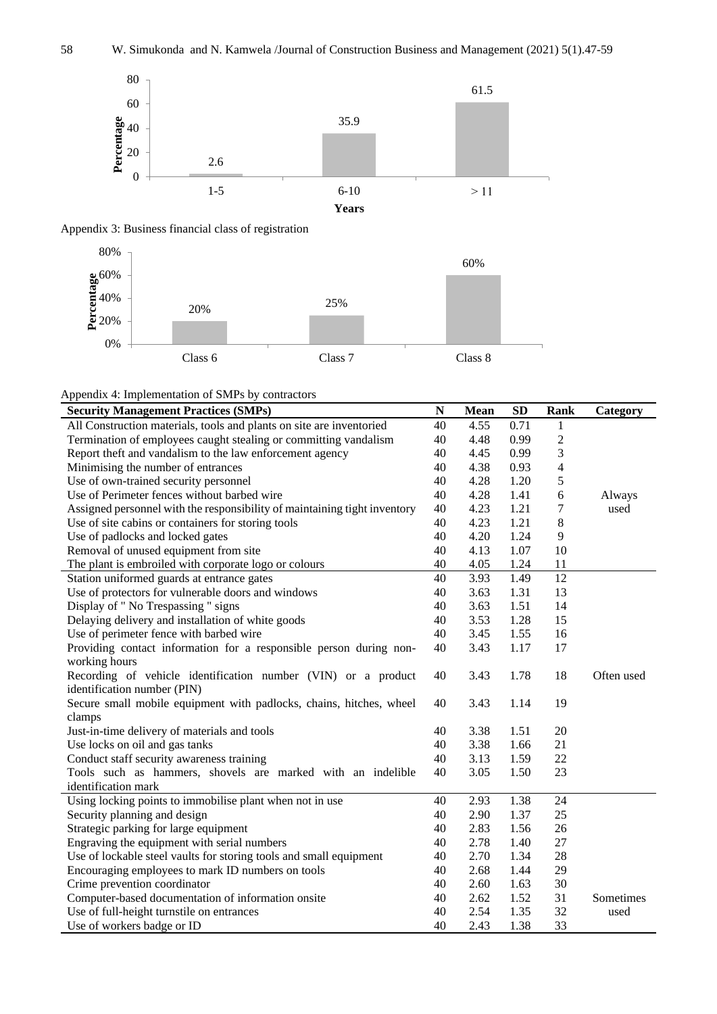





Appendix 4: Implementation of SMPs by contractors

| <b>Security Management Practices (SMPs)</b>                               | ${\bf N}$ | <b>Mean</b> | <b>SD</b> | <b>Rank</b>    | Category   |
|---------------------------------------------------------------------------|-----------|-------------|-----------|----------------|------------|
| All Construction materials, tools and plants on site are inventoried      | 40        | 4.55        | 0.71      | $\mathbf{1}$   |            |
| Termination of employees caught stealing or committing vandalism          | 40        | 4.48        | 0.99      | $\sqrt{2}$     |            |
| Report theft and vandalism to the law enforcement agency                  | 40        | 4.45        | 0.99      | 3              |            |
| Minimising the number of entrances                                        | 40        | 4.38        | 0.93      | $\overline{4}$ |            |
| Use of own-trained security personnel                                     | 40        | 4.28        | 1.20      | 5              |            |
| Use of Perimeter fences without barbed wire                               | 40        | 4.28        | 1.41      | 6              | Always     |
| Assigned personnel with the responsibility of maintaining tight inventory | 40        | 4.23        | 1.21      | 7              | used       |
| Use of site cabins or containers for storing tools                        | 40        | 4.23        | 1.21      | 8              |            |
| Use of padlocks and locked gates                                          | 40        | 4.20        | 1.24      | 9              |            |
| Removal of unused equipment from site                                     | 40        | 4.13        | 1.07      | 10             |            |
| The plant is embroiled with corporate logo or colours                     | 40        | 4.05        | 1.24      | 11             |            |
| Station uniformed guards at entrance gates                                | 40        | 3.93        | 1.49      | 12             |            |
| Use of protectors for vulnerable doors and windows                        | 40        | 3.63        | 1.31      | 13             |            |
| Display of " No Trespassing " signs                                       | 40        | 3.63        | 1.51      | 14             |            |
| Delaying delivery and installation of white goods                         | 40        | 3.53        | 1.28      | 15             |            |
| Use of perimeter fence with barbed wire                                   | 40        | 3.45        | 1.55      | 16             |            |
| Providing contact information for a responsible person during non-        | 40        | 3.43        | 1.17      | 17             |            |
| working hours                                                             |           |             |           |                |            |
| Recording of vehicle identification number (VIN) or a product             | 40        | 3.43        | 1.78      | 18             | Often used |
| identification number (PIN)                                               |           |             |           |                |            |
| Secure small mobile equipment with padlocks, chains, hitches, wheel       | 40        | 3.43        | 1.14      | 19             |            |
| clamps                                                                    |           |             |           |                |            |
| Just-in-time delivery of materials and tools                              | 40        | 3.38        | 1.51      | 20             |            |
| Use locks on oil and gas tanks                                            | 40        | 3.38        | 1.66      | 21             |            |
| Conduct staff security awareness training                                 | 40        | 3.13        | 1.59      | 22             |            |
| Tools such as hammers, shovels are marked with an indelible               | 40        | 3.05        | 1.50      | 23             |            |
| identification mark                                                       |           |             |           |                |            |
| Using locking points to immobilise plant when not in use                  | 40        | 2.93        | 1.38      | 24             |            |
| Security planning and design                                              | 40        | 2.90        | 1.37      | 25             |            |
| Strategic parking for large equipment                                     | 40        | 2.83        | 1.56      | 26             |            |
| Engraving the equipment with serial numbers                               | 40        | 2.78        | 1.40      | 27             |            |
| Use of lockable steel vaults for storing tools and small equipment        | 40        | 2.70        | 1.34      | 28             |            |
| Encouraging employees to mark ID numbers on tools                         | 40        | 2.68        | 1.44      | 29             |            |
| Crime prevention coordinator                                              | 40        | 2.60        | 1.63      | 30             |            |
| Computer-based documentation of information onsite                        | 40        | 2.62        | 1.52      | 31             | Sometimes  |
| Use of full-height turnstile on entrances                                 | 40        | 2.54        | 1.35      | 32             | used       |
| Use of workers badge or ID                                                | 40        | 2.43        | 1.38      | 33             |            |